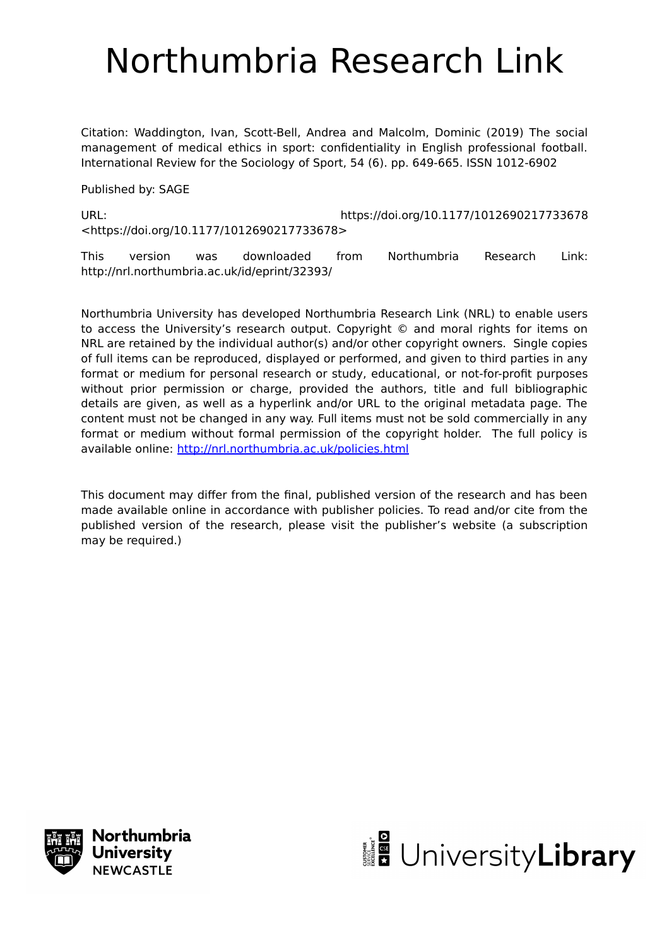# Northumbria Research Link

Citation: Waddington, Ivan, Scott-Bell, Andrea and Malcolm, Dominic (2019) The social management of medical ethics in sport: confidentiality in English professional football. International Review for the Sociology of Sport, 54 (6). pp. 649-665. ISSN 1012-6902

Published by: SAGE

URL: https://doi.org/10.1177/1012690217733678 <https://doi.org/10.1177/1012690217733678>

This version was downloaded from Northumbria Research Link: http://nrl.northumbria.ac.uk/id/eprint/32393/

Northumbria University has developed Northumbria Research Link (NRL) to enable users to access the University's research output. Copyright © and moral rights for items on NRL are retained by the individual author(s) and/or other copyright owners. Single copies of full items can be reproduced, displayed or performed, and given to third parties in any format or medium for personal research or study, educational, or not-for-profit purposes without prior permission or charge, provided the authors, title and full bibliographic details are given, as well as a hyperlink and/or URL to the original metadata page. The content must not be changed in any way. Full items must not be sold commercially in any format or medium without formal permission of the copyright holder. The full policy is available online:<http://nrl.northumbria.ac.uk/policies.html>

This document may differ from the final, published version of the research and has been made available online in accordance with publisher policies. To read and/or cite from the published version of the research, please visit the publisher's website (a subscription may be required.)



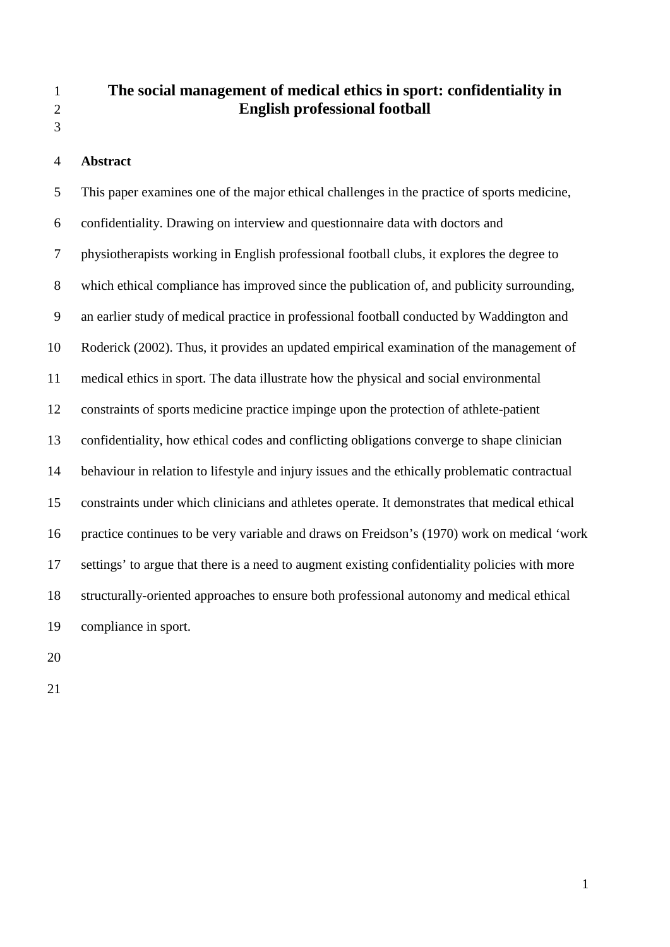#### 

# **The social management of medical ethics in sport: confidentiality in English professional football**

# **Abstract**

 This paper examines one of the major ethical challenges in the practice of sports medicine, confidentiality. Drawing on interview and questionnaire data with doctors and physiotherapists working in English professional football clubs, it explores the degree to which ethical compliance has improved since the publication of, and publicity surrounding, an earlier study of medical practice in professional football conducted by Waddington and Roderick (2002). Thus, it provides an updated empirical examination of the management of medical ethics in sport. The data illustrate how the physical and social environmental constraints of sports medicine practice impinge upon the protection of athlete-patient confidentiality, how ethical codes and conflicting obligations converge to shape clinician behaviour in relation to lifestyle and injury issues and the ethically problematic contractual constraints under which clinicians and athletes operate. It demonstrates that medical ethical practice continues to be very variable and draws on Freidson's (1970) work on medical 'work settings' to argue that there is a need to augment existing confidentiality policies with more structurally-oriented approaches to ensure both professional autonomy and medical ethical compliance in sport.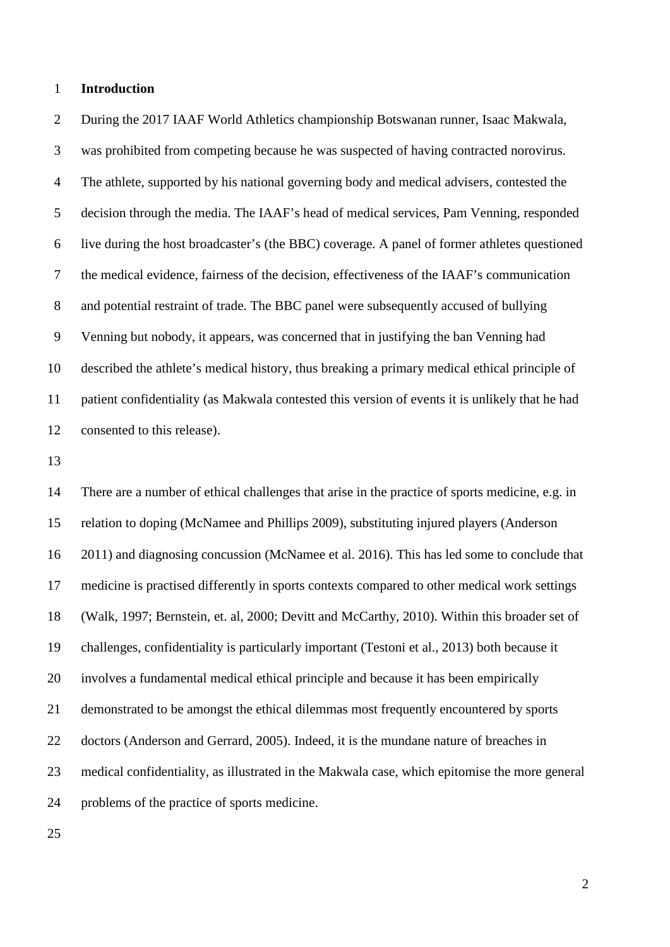#### **Introduction**

 During the 2017 IAAF World Athletics championship Botswanan runner, Isaac Makwala, was prohibited from competing because he was suspected of having contracted norovirus. The athlete, supported by his national governing body and medical advisers, contested the decision through the media. The IAAF's head of medical services, Pam Venning, responded live during the host broadcaster's (the BBC) coverage. A panel of former athletes questioned the medical evidence, fairness of the decision, effectiveness of the IAAF's communication and potential restraint of trade. The BBC panel were subsequently accused of bullying Venning but nobody, it appears, was concerned that in justifying the ban Venning had described the athlete's medical history, thus breaking a primary medical ethical principle of patient confidentiality (as Makwala contested this version of events it is unlikely that he had consented to this release).

 There are a number of ethical challenges that arise in the practice of sports medicine, e.g. in relation to doping (McNamee and Phillips 2009), substituting injured players (Anderson 2011) and diagnosing concussion (McNamee et al. 2016). This has led some to conclude that medicine is practised differently in sports contexts compared to other medical work settings (Walk, 1997; Bernstein, et. al, 2000; Devitt and McCarthy, 2010). Within this broader set of challenges, confidentiality is particularly important (Testoni et al., 2013) both because it involves a fundamental medical ethical principle and because it has been empirically demonstrated to be amongst the ethical dilemmas most frequently encountered by sports doctors (Anderson and Gerrard, 2005). Indeed, it is the mundane nature of breaches in medical confidentiality, as illustrated in the Makwala case, which epitomise the more general problems of the practice of sports medicine.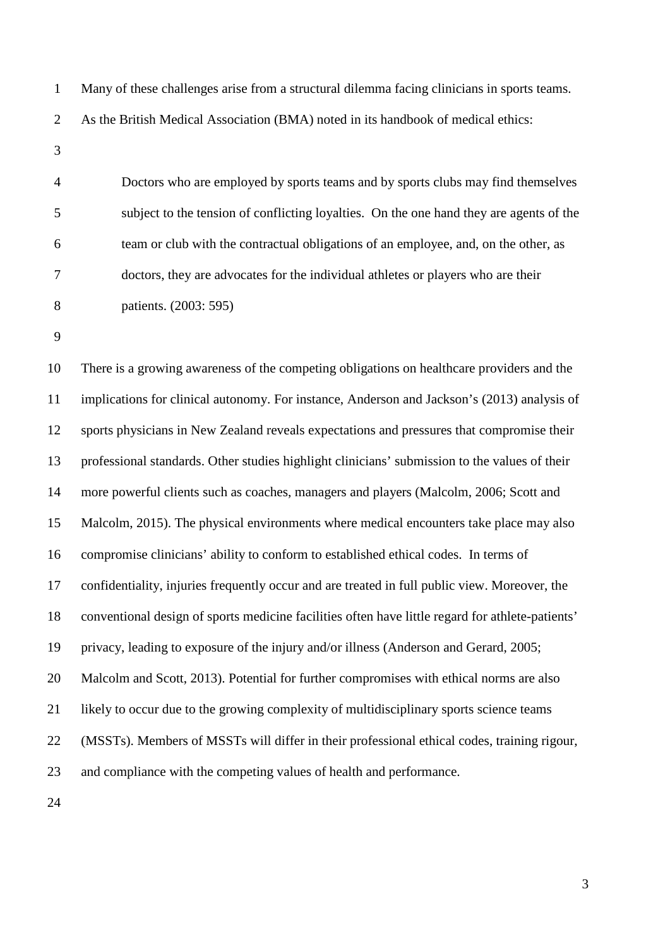- Many of these challenges arise from a structural dilemma facing clinicians in sports teams. As the British Medical Association (BMA) noted in its handbook of medical ethics:
- 

 Doctors who are employed by sports teams and by sports clubs may find themselves subject to the tension of conflicting loyalties. On the one hand they are agents of the team or club with the contractual obligations of an employee, and, on the other, as doctors, they are advocates for the individual athletes or players who are their patients. (2003: 595)

 There is a growing awareness of the competing obligations on healthcare providers and the implications for clinical autonomy. For instance, Anderson and Jackson's (2013) analysis of sports physicians in New Zealand reveals expectations and pressures that compromise their professional standards. Other studies highlight clinicians' submission to the values of their more powerful clients such as coaches, managers and players (Malcolm, 2006; Scott and Malcolm, 2015). The physical environments where medical encounters take place may also compromise clinicians' ability to conform to established ethical codes. In terms of confidentiality, injuries frequently occur and are treated in full public view. Moreover, the conventional design of sports medicine facilities often have little regard for athlete-patients' privacy, leading to exposure of the injury and/or illness (Anderson and Gerard, 2005; Malcolm and Scott, 2013). Potential for further compromises with ethical norms are also likely to occur due to the growing complexity of multidisciplinary sports science teams (MSSTs). Members of MSSTs will differ in their professional ethical codes, training rigour, and compliance with the competing values of health and performance.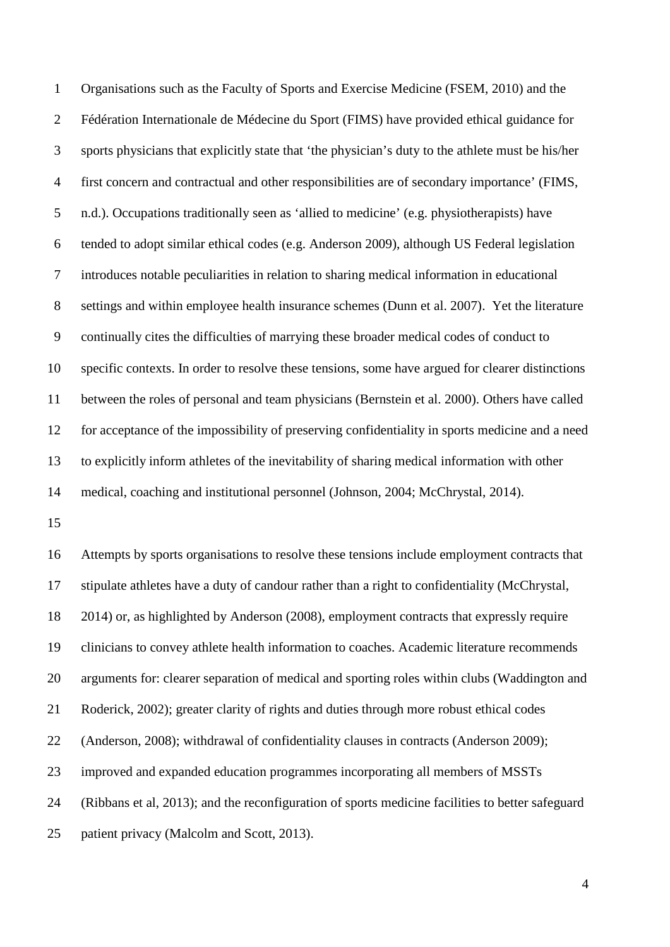Organisations such as the Faculty of Sports and Exercise Medicine (FSEM, 2010) and the Fédération Internationale de Médecine du Sport (FIMS) have provided ethical guidance for sports physicians that explicitly state that 'the physician's duty to the athlete must be his/her first concern and contractual and other responsibilities are of secondary importance' (FIMS, n.d.). Occupations traditionally seen as 'allied to medicine' (e.g. physiotherapists) have tended to adopt similar ethical codes (e.g. Anderson 2009), although US Federal legislation introduces notable peculiarities in relation to sharing medical information in educational settings and within employee health insurance schemes (Dunn et al. 2007). Yet the literature continually cites the difficulties of marrying these broader medical codes of conduct to specific contexts. In order to resolve these tensions, some have argued for clearer distinctions between the roles of personal and team physicians (Bernstein et al. 2000). Others have called for acceptance of the impossibility of preserving confidentiality in sports medicine and a need to explicitly inform athletes of the inevitability of sharing medical information with other medical, coaching and institutional personnel (Johnson, 2004; McChrystal, 2014).

 Attempts by sports organisations to resolve these tensions include employment contracts that stipulate athletes have a duty of candour rather than a right to confidentiality (McChrystal, 2014) or, as highlighted by Anderson (2008), employment contracts that expressly require clinicians to convey athlete health information to coaches. Academic literature recommends arguments for: clearer separation of medical and sporting roles within clubs (Waddington and Roderick, 2002); greater clarity of rights and duties through more robust ethical codes (Anderson, 2008); withdrawal of confidentiality clauses in contracts (Anderson 2009); improved and expanded education programmes incorporating all members of MSSTs (Ribbans et al, 2013); and the reconfiguration of sports medicine facilities to better safeguard patient privacy (Malcolm and Scott, 2013).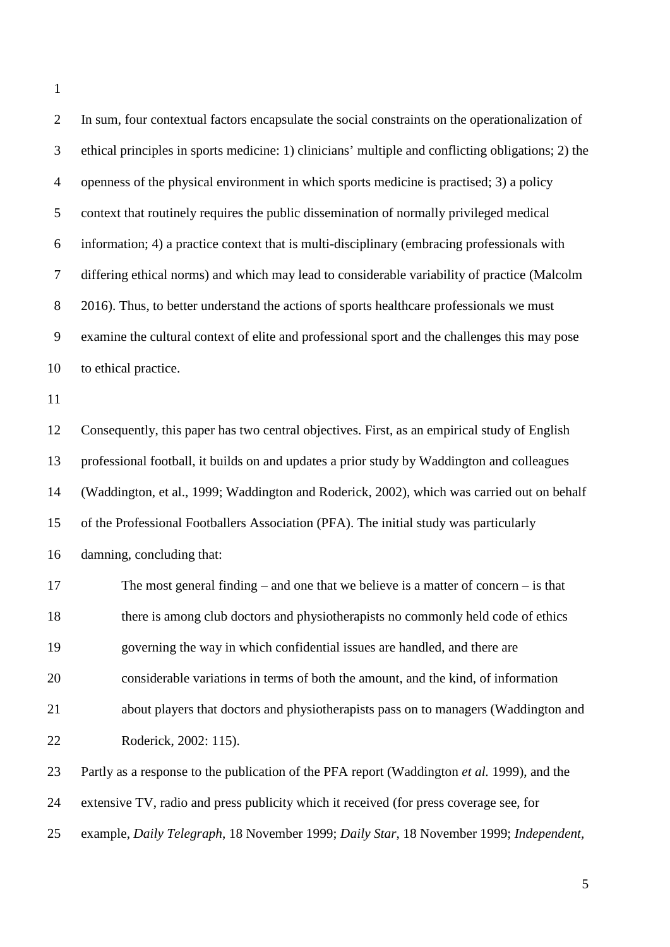| $\mathfrak{2}$   | In sum, four contextual factors encapsulate the social constraints on the operationalization of    |  |  |  |  |
|------------------|----------------------------------------------------------------------------------------------------|--|--|--|--|
| $\mathfrak{Z}$   | ethical principles in sports medicine: 1) clinicians' multiple and conflicting obligations; 2) the |  |  |  |  |
| $\overline{4}$   | openness of the physical environment in which sports medicine is practised; 3) a policy            |  |  |  |  |
| $\sqrt{5}$       | context that routinely requires the public dissemination of normally privileged medical            |  |  |  |  |
| 6                | information; 4) a practice context that is multi-disciplinary (embracing professionals with        |  |  |  |  |
| $\boldsymbol{7}$ | differing ethical norms) and which may lead to considerable variability of practice (Malcolm       |  |  |  |  |
| $8\,$            | 2016). Thus, to better understand the actions of sports healthcare professionals we must           |  |  |  |  |
| $\mathbf{9}$     | examine the cultural context of elite and professional sport and the challenges this may pose      |  |  |  |  |
| 10               | to ethical practice.                                                                               |  |  |  |  |
| 11               |                                                                                                    |  |  |  |  |
| 12               | Consequently, this paper has two central objectives. First, as an empirical study of English       |  |  |  |  |
| 13               | professional football, it builds on and updates a prior study by Waddington and colleagues         |  |  |  |  |
| 14               | (Waddington, et al., 1999; Waddington and Roderick, 2002), which was carried out on behalf         |  |  |  |  |
| 15               | of the Professional Footballers Association (PFA). The initial study was particularly              |  |  |  |  |
| 16               | damning, concluding that:                                                                          |  |  |  |  |
| 17               | The most general finding $-$ and one that we believe is a matter of concern $-$ is that            |  |  |  |  |
| 18               | there is among club doctors and physiotherapists no commonly held code of ethics                   |  |  |  |  |
| 19               | governing the way in which confidential issues are handled, and there are                          |  |  |  |  |
| 20               | considerable variations in terms of both the amount, and the kind, of information                  |  |  |  |  |
| 21               | about players that doctors and physiotherapists pass on to managers (Waddington and                |  |  |  |  |
| 22               | Roderick, 2002: 115).                                                                              |  |  |  |  |
| 23               | Partly as a response to the publication of the PFA report (Waddington <i>et al.</i> 1999), and the |  |  |  |  |
| 24               | extensive TV, radio and press publicity which it received (for press coverage see, for             |  |  |  |  |
| 25               | example, Daily Telegraph, 18 November 1999; Daily Star, 18 November 1999; Independent,             |  |  |  |  |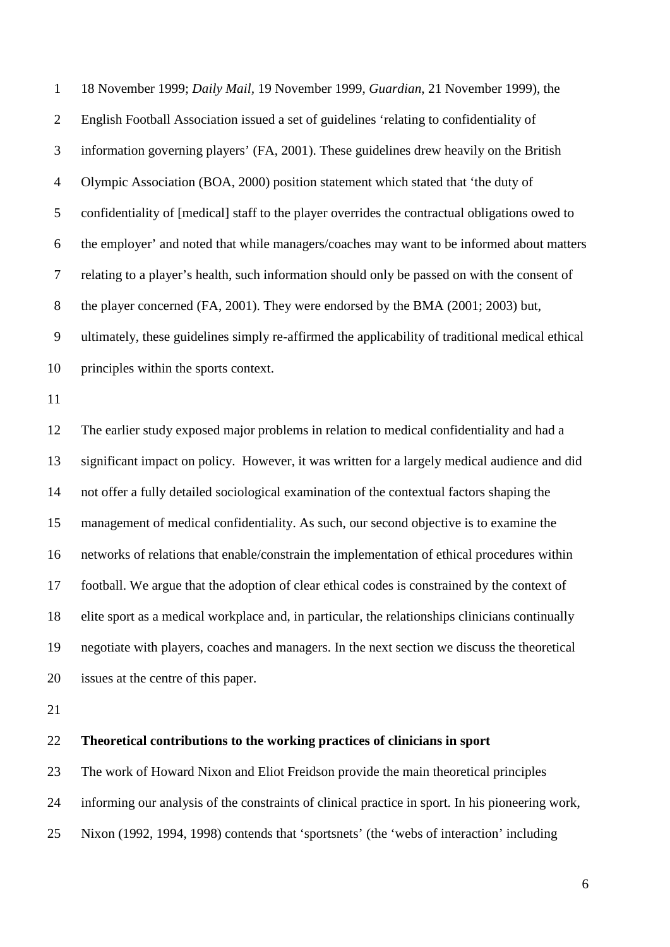18 November 1999; *Daily Mail,* 19 November 1999, *Guardian*, 21 November 1999), the English Football Association issued a set of guidelines 'relating to confidentiality of information governing players' (FA, 2001). These guidelines drew heavily on the British Olympic Association (BOA, 2000) position statement which stated that 'the duty of confidentiality of [medical] staff to the player overrides the contractual obligations owed to the employer' and noted that while managers/coaches may want to be informed about matters relating to a player's health, such information should only be passed on with the consent of the player concerned (FA, 2001). They were endorsed by the BMA (2001; 2003) but, ultimately, these guidelines simply re-affirmed the applicability of traditional medical ethical principles within the sports context. The earlier study exposed major problems in relation to medical confidentiality and had a significant impact on policy. However, it was written for a largely medical audience and did not offer a fully detailed sociological examination of the contextual factors shaping the management of medical confidentiality. As such, our second objective is to examine the networks of relations that enable/constrain the implementation of ethical procedures within

 football. We argue that the adoption of clear ethical codes is constrained by the context of elite sport as a medical workplace and, in particular, the relationships clinicians continually negotiate with players, coaches and managers. In the next section we discuss the theoretical issues at the centre of this paper.

# **Theoretical contributions to the working practices of clinicians in sport**

 The work of Howard Nixon and Eliot Freidson provide the main theoretical principles informing our analysis of the constraints of clinical practice in sport. In his pioneering work, Nixon (1992, 1994, 1998) contends that 'sportsnets' (the 'webs of interaction' including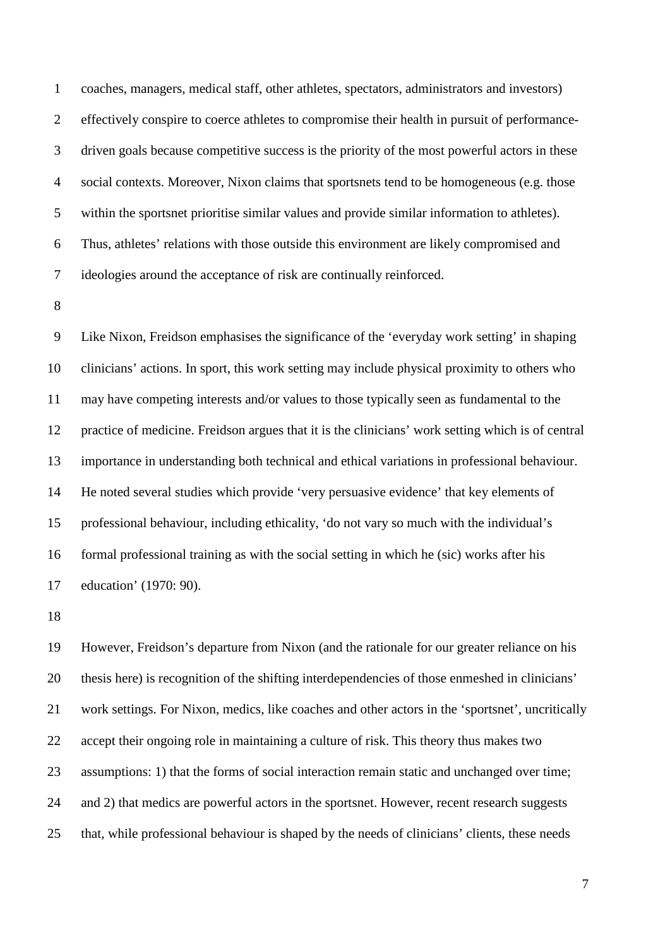coaches, managers, medical staff, other athletes, spectators, administrators and investors) effectively conspire to coerce athletes to compromise their health in pursuit of performance- driven goals because competitive success is the priority of the most powerful actors in these social contexts. Moreover, Nixon claims that sportsnets tend to be homogeneous (e.g. those within the sportsnet prioritise similar values and provide similar information to athletes). Thus, athletes' relations with those outside this environment are likely compromised and ideologies around the acceptance of risk are continually reinforced.

 Like Nixon, Freidson emphasises the significance of the 'everyday work setting' in shaping clinicians' actions. In sport, this work setting may include physical proximity to others who may have competing interests and/or values to those typically seen as fundamental to the practice of medicine. Freidson argues that it is the clinicians' work setting which is of central importance in understanding both technical and ethical variations in professional behaviour. He noted several studies which provide 'very persuasive evidence' that key elements of professional behaviour, including ethicality, 'do not vary so much with the individual's formal professional training as with the social setting in which he (sic) works after his education' (1970: 90).

 However, Freidson's departure from Nixon (and the rationale for our greater reliance on his thesis here) is recognition of the shifting interdependencies of those enmeshed in clinicians' work settings. For Nixon, medics, like coaches and other actors in the 'sportsnet', uncritically accept their ongoing role in maintaining a culture of risk. This theory thus makes two assumptions: 1) that the forms of social interaction remain static and unchanged over time; and 2) that medics are powerful actors in the sportsnet. However, recent research suggests that, while professional behaviour is shaped by the needs of clinicians' clients, these needs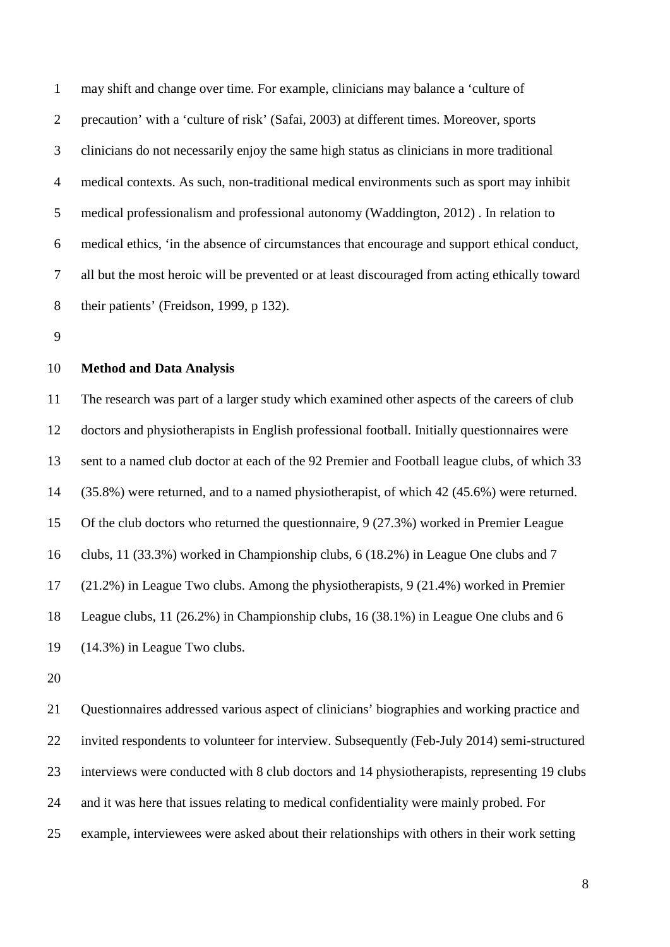may shift and change over time. For example, clinicians may balance a 'culture of precaution' with a 'culture of risk' (Safai, 2003) at different times. Moreover, sports clinicians do not necessarily enjoy the same high status as clinicians in more traditional medical contexts. As such, non-traditional medical environments such as sport may inhibit medical professionalism and professional autonomy (Waddington, 2012) . In relation to medical ethics, 'in the absence of circumstances that encourage and support ethical conduct, all but the most heroic will be prevented or at least discouraged from acting ethically toward their patients' (Freidson, 1999, p 132).

#### **Method and Data Analysis**

 The research was part of a larger study which examined other aspects of the careers of club doctors and physiotherapists in English professional football. Initially questionnaires were sent to a named club doctor at each of the 92 Premier and Football league clubs, of which 33 (35.8%) were returned, and to a named physiotherapist, of which 42 (45.6%) were returned. Of the club doctors who returned the questionnaire, 9 (27.3%) worked in Premier League clubs, 11 (33.3%) worked in Championship clubs, 6 (18.2%) in League One clubs and 7 (21.2%) in League Two clubs. Among the physiotherapists, 9 (21.4%) worked in Premier League clubs, 11 (26.2%) in Championship clubs, 16 (38.1%) in League One clubs and 6 (14.3%) in League Two clubs.

 Questionnaires addressed various aspect of clinicians' biographies and working practice and invited respondents to volunteer for interview. Subsequently (Feb-July 2014) semi-structured interviews were conducted with 8 club doctors and 14 physiotherapists, representing 19 clubs and it was here that issues relating to medical confidentiality were mainly probed. For example, interviewees were asked about their relationships with others in their work setting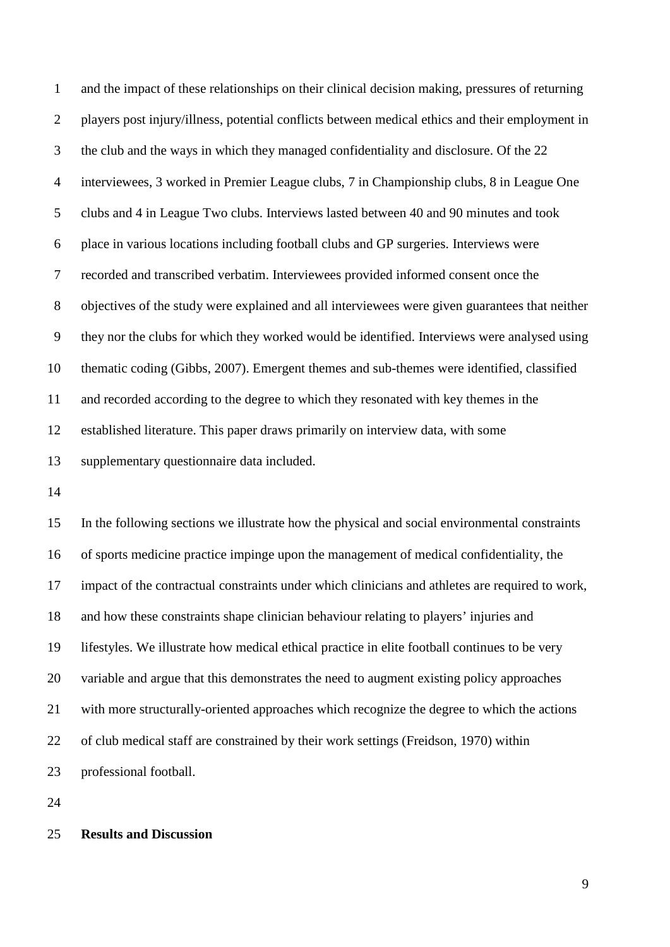and the impact of these relationships on their clinical decision making, pressures of returning 2 players post injury/illness, potential conflicts between medical ethics and their employment in the club and the ways in which they managed confidentiality and disclosure. Of the 22 interviewees, 3 worked in Premier League clubs, 7 in Championship clubs, 8 in League One clubs and 4 in League Two clubs. Interviews lasted between 40 and 90 minutes and took place in various locations including football clubs and GP surgeries. Interviews were recorded and transcribed verbatim. Interviewees provided informed consent once the objectives of the study were explained and all interviewees were given guarantees that neither they nor the clubs for which they worked would be identified. Interviews were analysed using thematic coding (Gibbs, 2007). Emergent themes and sub-themes were identified, classified and recorded according to the degree to which they resonated with key themes in the established literature. This paper draws primarily on interview data, with some supplementary questionnaire data included.

 In the following sections we illustrate how the physical and social environmental constraints of sports medicine practice impinge upon the management of medical confidentiality, the impact of the contractual constraints under which clinicians and athletes are required to work, and how these constraints shape clinician behaviour relating to players' injuries and lifestyles. We illustrate how medical ethical practice in elite football continues to be very variable and argue that this demonstrates the need to augment existing policy approaches with more structurally-oriented approaches which recognize the degree to which the actions of club medical staff are constrained by their work settings (Freidson, 1970) within professional football.

#### **Results and Discussion**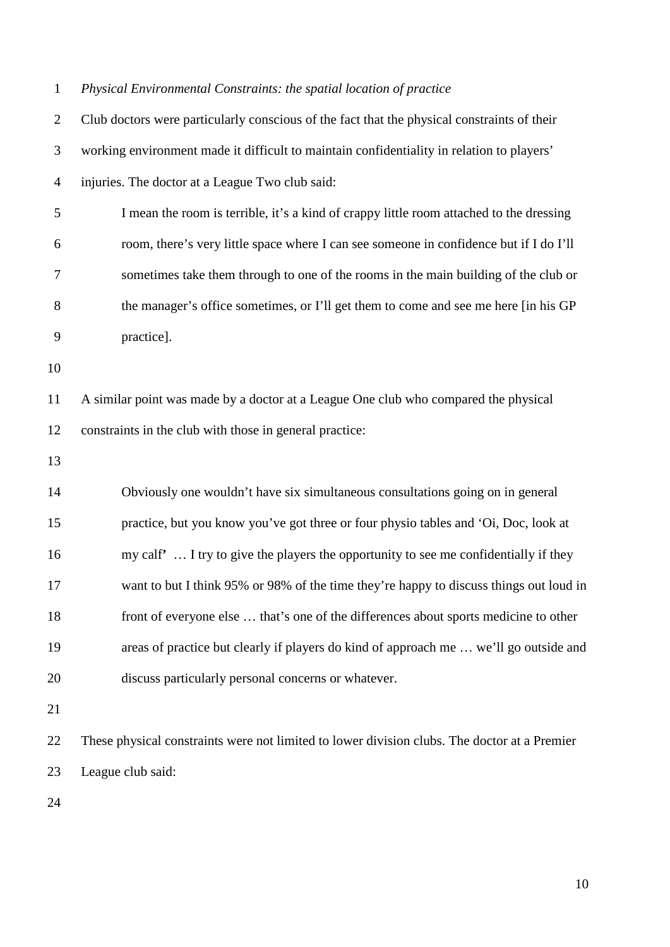*Physical Environmental Constraints: the spatial location of practice* Club doctors were particularly conscious of the fact that the physical constraints of their working environment made it difficult to maintain confidentiality in relation to players' injuries. The doctor at a League Two club said: I mean the room is terrible, it's a kind of crappy little room attached to the dressing room, there's very little space where I can see someone in confidence but if I do I'll sometimes take them through to one of the rooms in the main building of the club or the manager's office sometimes, or I'll get them to come and see me here [in his GP practice]. A similar point was made by a doctor at a League One club who compared the physical constraints in the club with those in general practice: Obviously one wouldn't have six simultaneous consultations going on in general practice, but you know you've got three or four physio tables and 'Oi, Doc, look at my calf**'** … I try to give the players the opportunity to see me confidentially if they want to but I think 95% or 98% of the time they're happy to discuss things out loud in front of everyone else … that's one of the differences about sports medicine to other areas of practice but clearly if players do kind of approach me … we'll go outside and discuss particularly personal concerns or whatever. These physical constraints were not limited to lower division clubs. The doctor at a Premier League club said: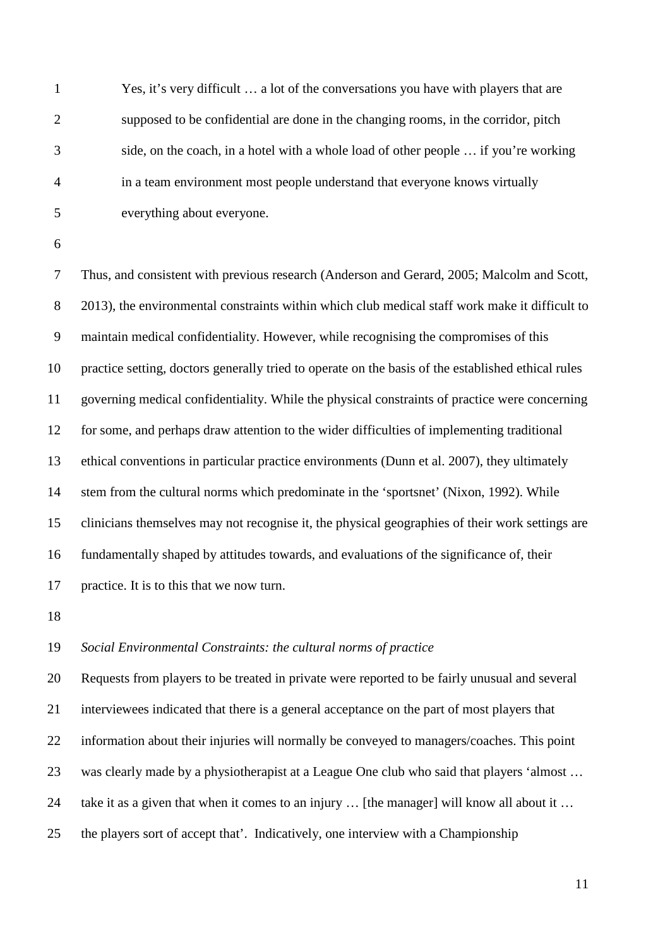Yes, it's very difficult … a lot of the conversations you have with players that are supposed to be confidential are done in the changing rooms, in the corridor, pitch side, on the coach, in a hotel with a whole load of other people … if you're working in a team environment most people understand that everyone knows virtually everything about everyone.

 Thus, and consistent with previous research (Anderson and Gerard, 2005; Malcolm and Scott, 2013), the environmental constraints within which club medical staff work make it difficult to maintain medical confidentiality. However, while recognising the compromises of this practice setting, doctors generally tried to operate on the basis of the established ethical rules governing medical confidentiality. While the physical constraints of practice were concerning for some, and perhaps draw attention to the wider difficulties of implementing traditional ethical conventions in particular practice environments (Dunn et al. 2007), they ultimately stem from the cultural norms which predominate in the 'sportsnet' (Nixon, 1992). While clinicians themselves may not recognise it, the physical geographies of their work settings are fundamentally shaped by attitudes towards, and evaluations of the significance of, their practice. It is to this that we now turn.

# *Social Environmental Constraints: the cultural norms of practice*

 Requests from players to be treated in private were reported to be fairly unusual and several interviewees indicated that there is a general acceptance on the part of most players that information about their injuries will normally be conveyed to managers/coaches. This point was clearly made by a physiotherapist at a League One club who said that players 'almost … take it as a given that when it comes to an injury … [the manager] will know all about it … the players sort of accept that'. Indicatively, one interview with a Championship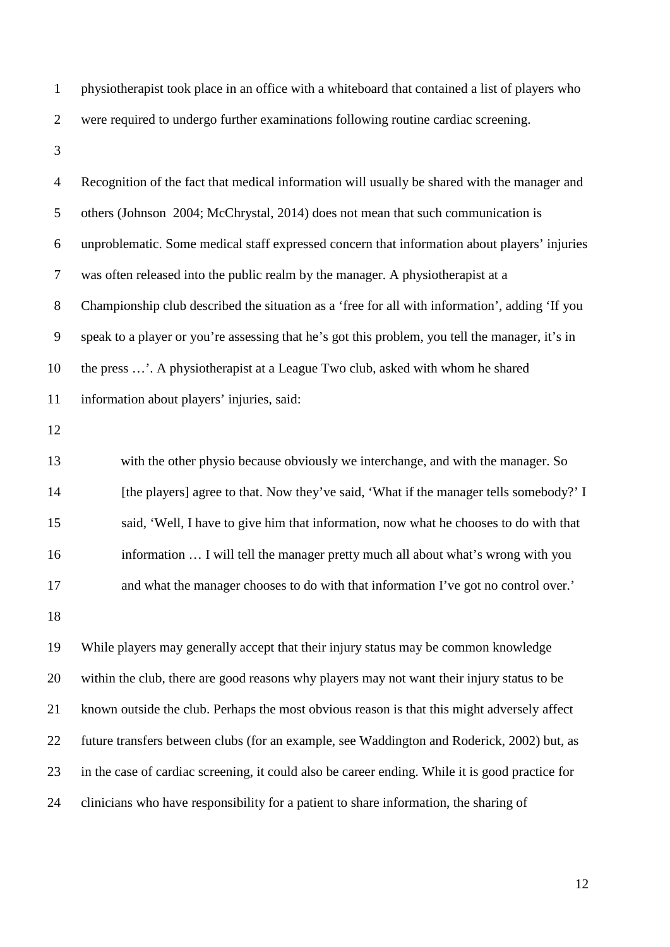- physiotherapist took place in an office with a whiteboard that contained a list of players who were required to undergo further examinations following routine cardiac screening.
- 

| $\overline{4}$ | Recognition of the fact that medical information will usually be shared with the manager and    |
|----------------|-------------------------------------------------------------------------------------------------|
| 5              | others (Johnson 2004; McChrystal, 2014) does not mean that such communication is                |
| 6              | unproblematic. Some medical staff expressed concern that information about players' injuries    |
| 7              | was often released into the public realm by the manager. A physiotherapist at a                 |
| $8\,$          | Championship club described the situation as a 'free for all with information', adding 'If you  |
| 9              | speak to a player or you're assessing that he's got this problem, you tell the manager, it's in |
| 10             | the press '. A physiotherapist at a League Two club, asked with whom he shared                  |
| 11             | information about players' injuries, said:                                                      |
| 12             |                                                                                                 |
| 13             | with the other physio because obviously we interchange, and with the manager. So                |
| 14             | [the players] agree to that. Now they've said, 'What if the manager tells somebody?' I          |
| 15             | said, 'Well, I have to give him that information, now what he chooses to do with that           |
| 16             | information  I will tell the manager pretty much all about what's wrong with you                |
| 17             | and what the manager chooses to do with that information I've got no control over.'             |
| 18             |                                                                                                 |
| 19             | While players may generally accept that their injury status may be common knowledge             |
| 20             | within the club, there are good reasons why players may not want their injury status to be      |
| 21             | known outside the club. Perhaps the most obvious reason is that this might adversely affect     |
| 22             | future transfers between clubs (for an example, see Waddington and Roderick, 2002) but, as      |
| 23             | in the case of cardiac screening, it could also be career ending. While it is good practice for |
| 24             | clinicians who have responsibility for a patient to share information, the sharing of           |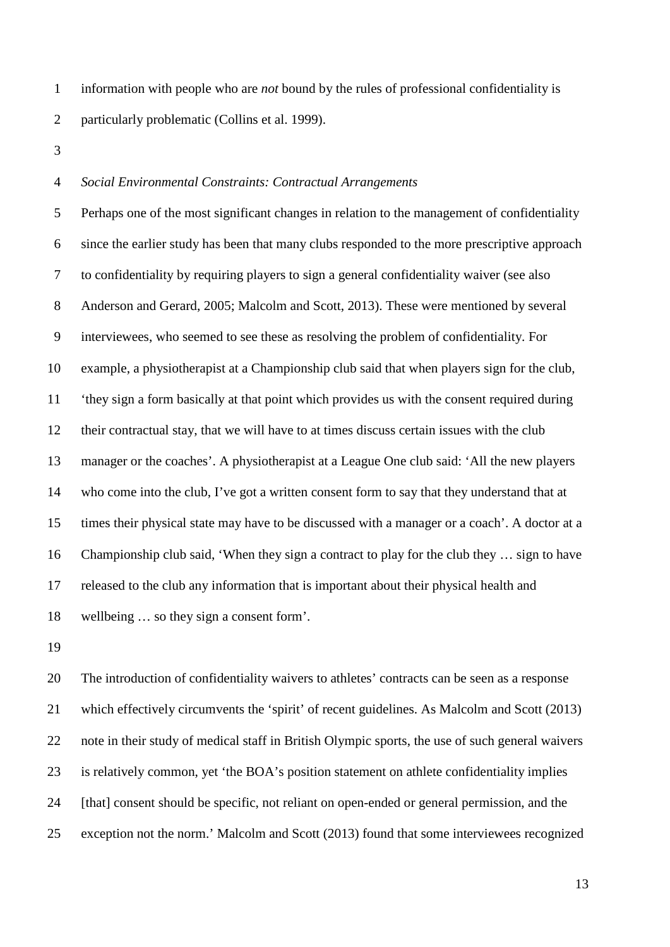information with people who are *not* bound by the rules of professional confidentiality is 2 particularly problematic (Collins et al. 1999).

#### *Social Environmental Constraints: Contractual Arrangements*

 Perhaps one of the most significant changes in relation to the management of confidentiality since the earlier study has been that many clubs responded to the more prescriptive approach to confidentiality by requiring players to sign a general confidentiality waiver (see also Anderson and Gerard, 2005; Malcolm and Scott, 2013). These were mentioned by several interviewees, who seemed to see these as resolving the problem of confidentiality. For example, a physiotherapist at a Championship club said that when players sign for the club, 'they sign a form basically at that point which provides us with the consent required during their contractual stay, that we will have to at times discuss certain issues with the club manager or the coaches'. A physiotherapist at a League One club said: 'All the new players who come into the club, I've got a written consent form to say that they understand that at times their physical state may have to be discussed with a manager or a coach'. A doctor at a Championship club said, 'When they sign a contract to play for the club they … sign to have released to the club any information that is important about their physical health and wellbeing … so they sign a consent form'.

 The introduction of confidentiality waivers to athletes' contracts can be seen as a response which effectively circumvents the 'spirit' of recent guidelines. As Malcolm and Scott (2013) note in their study of medical staff in British Olympic sports, the use of such general waivers is relatively common, yet 'the BOA's position statement on athlete confidentiality implies [that] consent should be specific, not reliant on open-ended or general permission, and the exception not the norm.' Malcolm and Scott (2013) found that some interviewees recognized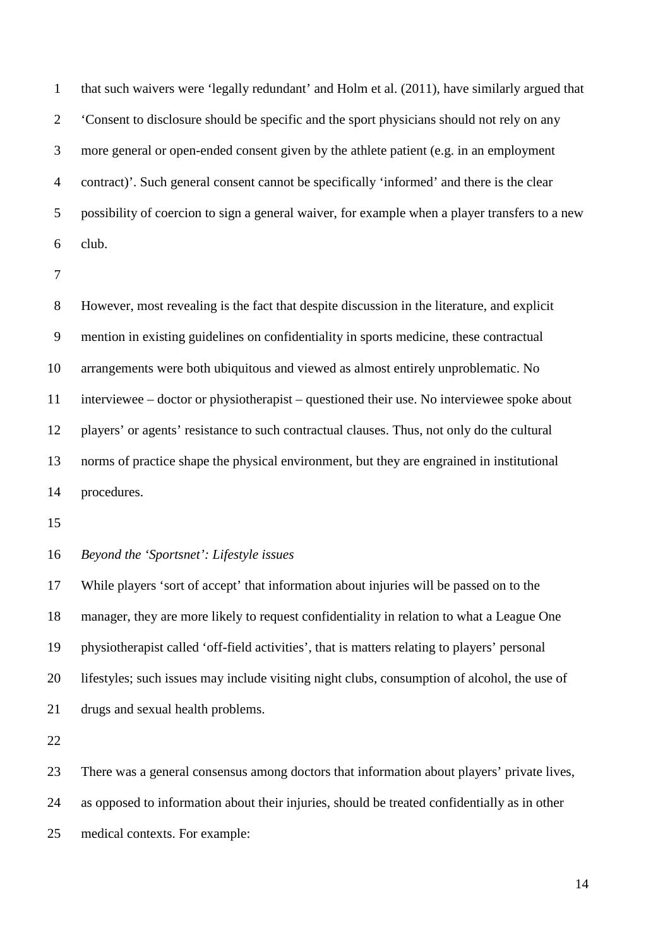that such waivers were 'legally redundant' and Holm et al. (2011), have similarly argued that 'Consent to disclosure should be specific and the sport physicians should not rely on any more general or open-ended consent given by the athlete patient (e.g. in an employment contract)'. Such general consent cannot be specifically 'informed' and there is the clear possibility of coercion to sign a general waiver, for example when a player transfers to a new club.

 However, most revealing is the fact that despite discussion in the literature, and explicit mention in existing guidelines on confidentiality in sports medicine, these contractual arrangements were both ubiquitous and viewed as almost entirely unproblematic. No interviewee – doctor or physiotherapist – questioned their use. No interviewee spoke about players' or agents' resistance to such contractual clauses. Thus, not only do the cultural norms of practice shape the physical environment, but they are engrained in institutional procedures.

# *Beyond the 'Sportsnet': Lifestyle issues*

 While players 'sort of accept' that information about injuries will be passed on to the manager, they are more likely to request confidentiality in relation to what a League One physiotherapist called 'off-field activities', that is matters relating to players' personal lifestyles; such issues may include visiting night clubs, consumption of alcohol, the use of drugs and sexual health problems.

 There was a general consensus among doctors that information about players' private lives, as opposed to information about their injuries, should be treated confidentially as in other medical contexts. For example: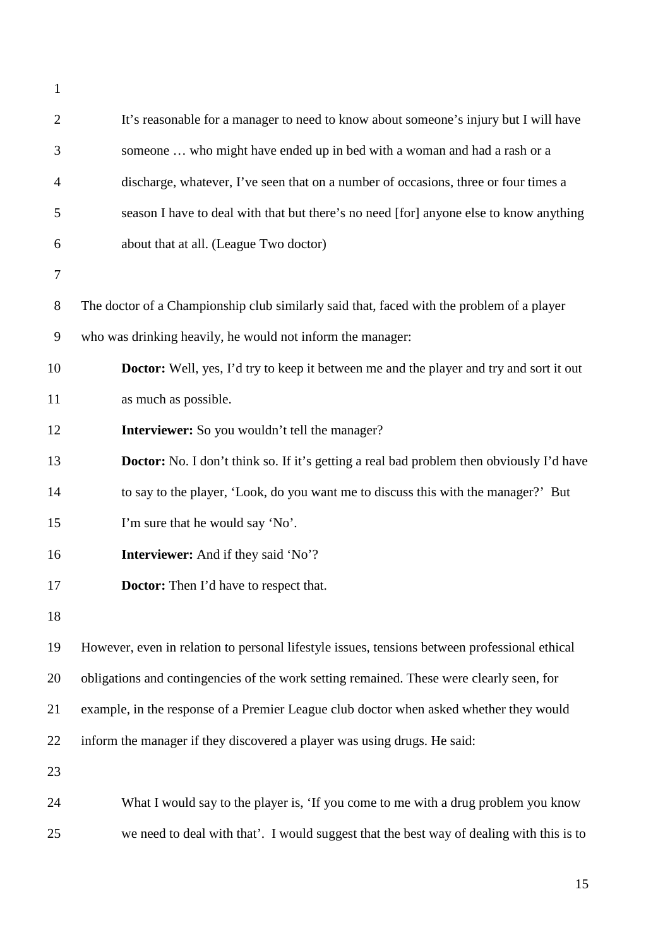| $\mathbf{1}$   |                                                                                                 |
|----------------|-------------------------------------------------------------------------------------------------|
| $\overline{2}$ | It's reasonable for a manager to need to know about someone's injury but I will have            |
| 3              | someone  who might have ended up in bed with a woman and had a rash or a                        |
| 4              | discharge, whatever, I've seen that on a number of occasions, three or four times a             |
| 5              | season I have to deal with that but there's no need [for] anyone else to know anything          |
| 6              | about that at all. (League Two doctor)                                                          |
| 7              |                                                                                                 |
| 8              | The doctor of a Championship club similarly said that, faced with the problem of a player       |
| 9              | who was drinking heavily, he would not inform the manager:                                      |
| 10             | <b>Doctor:</b> Well, yes, I'd try to keep it between me and the player and try and sort it out  |
| 11             | as much as possible.                                                                            |
| 12             | <b>Interviewer:</b> So you wouldn't tell the manager?                                           |
| 13             | <b>Doctor:</b> No. I don't think so. If it's getting a real bad problem then obviously I'd have |
| 14             | to say to the player, 'Look, do you want me to discuss this with the manager?' But              |
| 15             | I'm sure that he would say 'No'.                                                                |
| 16             | <b>Interviewer:</b> And if they said 'No'?                                                      |
| 17             | <b>Doctor:</b> Then I'd have to respect that.                                                   |
| 18             |                                                                                                 |
| 19             | However, even in relation to personal lifestyle issues, tensions between professional ethical   |
| 20             | obligations and contingencies of the work setting remained. These were clearly seen, for        |
| 21             | example, in the response of a Premier League club doctor when asked whether they would          |
| 22             | inform the manager if they discovered a player was using drugs. He said:                        |
| 23             |                                                                                                 |
| 24             | What I would say to the player is, 'If you come to me with a drug problem you know              |
| 25             | we need to deal with that'. I would suggest that the best way of dealing with this is to        |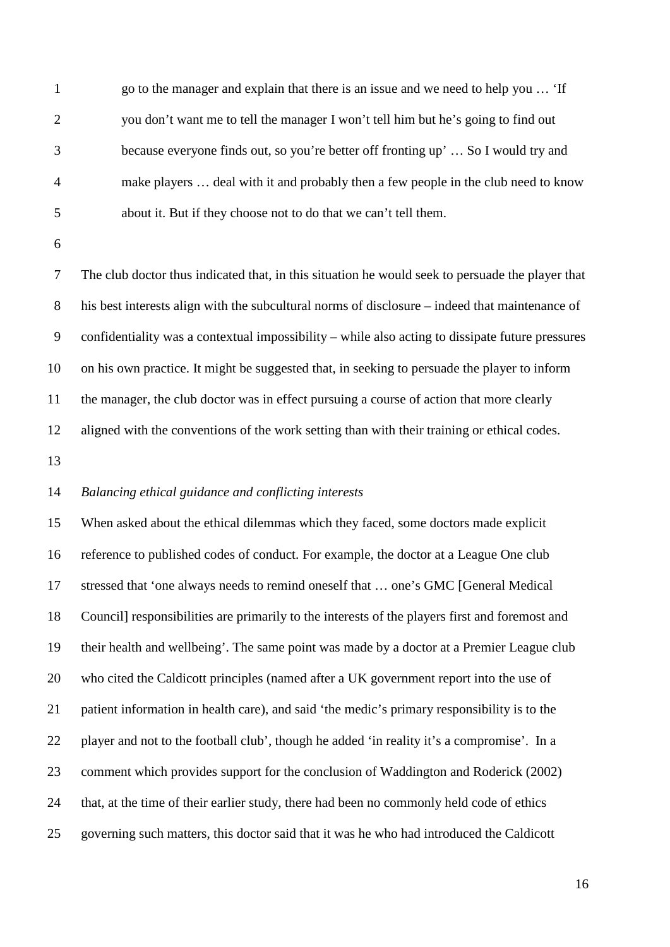go to the manager and explain that there is an issue and we need to help you … 'If you don't want me to tell the manager I won't tell him but he's going to find out because everyone finds out, so you're better off fronting up' … So I would try and make players … deal with it and probably then a few people in the club need to know about it. But if they choose not to do that we can't tell them.

 The club doctor thus indicated that, in this situation he would seek to persuade the player that his best interests align with the subcultural norms of disclosure – indeed that maintenance of confidentiality was a contextual impossibility – while also acting to dissipate future pressures on his own practice. It might be suggested that, in seeking to persuade the player to inform the manager, the club doctor was in effect pursuing a course of action that more clearly aligned with the conventions of the work setting than with their training or ethical codes. 

#### *Balancing ethical guidance and conflicting interests*

 When asked about the ethical dilemmas which they faced, some doctors made explicit reference to published codes of conduct. For example, the doctor at a League One club stressed that 'one always needs to remind oneself that … one's GMC [General Medical Council] responsibilities are primarily to the interests of the players first and foremost and their health and wellbeing'. The same point was made by a doctor at a Premier League club who cited the Caldicott principles (named after a UK government report into the use of patient information in health care), and said 'the medic's primary responsibility is to the player and not to the football club', though he added 'in reality it's a compromise'. In a comment which provides support for the conclusion of Waddington and Roderick (2002) that, at the time of their earlier study, there had been no commonly held code of ethics governing such matters, this doctor said that it was he who had introduced the Caldicott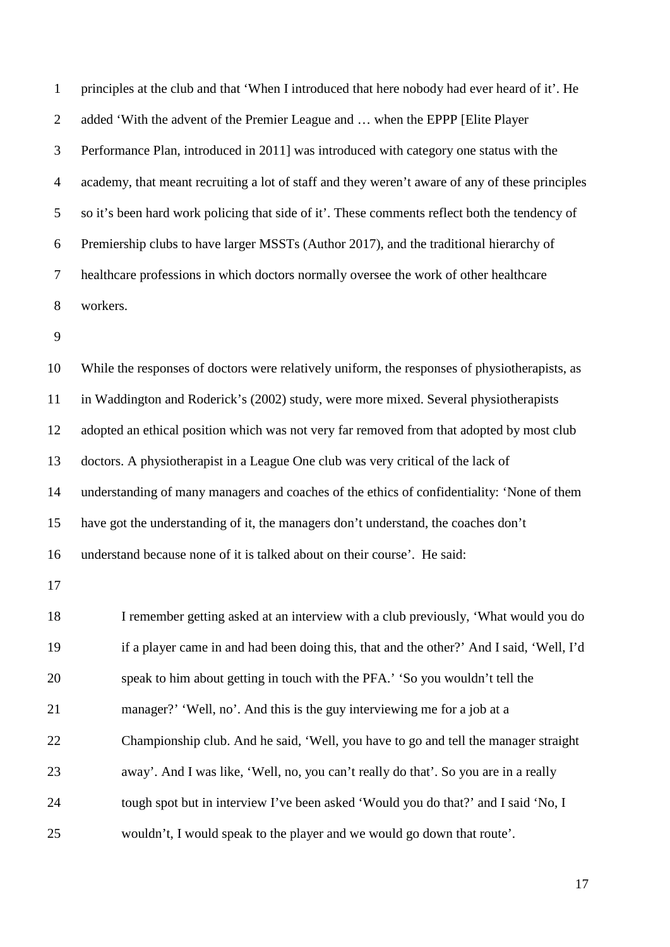principles at the club and that 'When I introduced that here nobody had ever heard of it'. He added 'With the advent of the Premier League and … when the EPPP [Elite Player Performance Plan, introduced in 2011] was introduced with category one status with the academy, that meant recruiting a lot of staff and they weren't aware of any of these principles so it's been hard work policing that side of it'. These comments reflect both the tendency of Premiership clubs to have larger MSSTs (Author 2017), and the traditional hierarchy of healthcare professions in which doctors normally oversee the work of other healthcare workers.

 While the responses of doctors were relatively uniform, the responses of physiotherapists, as in Waddington and Roderick's (2002) study, were more mixed. Several physiotherapists adopted an ethical position which was not very far removed from that adopted by most club doctors. A physiotherapist in a League One club was very critical of the lack of understanding of many managers and coaches of the ethics of confidentiality: 'None of them have got the understanding of it, the managers don't understand, the coaches don't understand because none of it is talked about on their course'. He said: I remember getting asked at an interview with a club previously, 'What would you do if a player came in and had been doing this, that and the other?' And I said, 'Well, I'd speak to him about getting in touch with the PFA.' 'So you wouldn't tell the manager?' 'Well, no'. And this is the guy interviewing me for a job at a Championship club. And he said, 'Well, you have to go and tell the manager straight away'. And I was like, 'Well, no, you can't really do that'. So you are in a really tough spot but in interview I've been asked 'Would you do that?' and I said 'No, I wouldn't, I would speak to the player and we would go down that route'.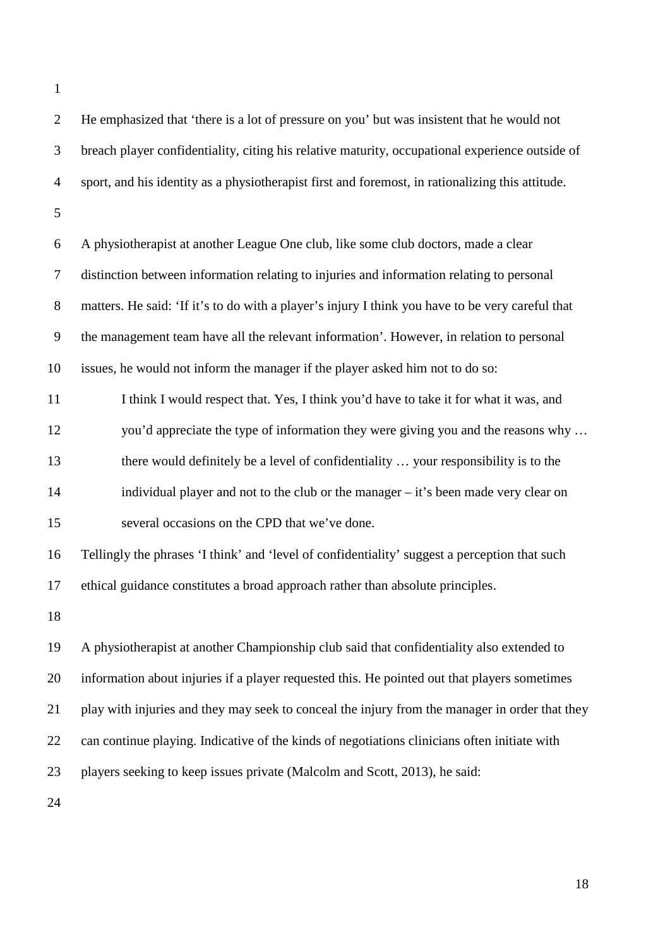breach player confidentiality, citing his relative maturity, occupational experience outside of sport, and his identity as a physiotherapist first and foremost, in rationalizing this attitude. A physiotherapist at another League One club, like some club doctors, made a clear distinction between information relating to injuries and information relating to personal matters. He said: 'If it's to do with a player's injury I think you have to be very careful that the management team have all the relevant information'. However, in relation to personal issues, he would not inform the manager if the player asked him not to do so: 11 I think I would respect that. Yes, I think you'd have to take it for what it was, and 12 you'd appreciate the type of information they were giving you and the reasons why ... there would definitely be a level of confidentiality … your responsibility is to the individual player and not to the club or the manager – it's been made very clear on several occasions on the CPD that we've done. Tellingly the phrases 'I think' and 'level of confidentiality' suggest a perception that such ethical guidance constitutes a broad approach rather than absolute principles. A physiotherapist at another Championship club said that confidentiality also extended to information about injuries if a player requested this. He pointed out that players sometimes play with injuries and they may seek to conceal the injury from the manager in order that they can continue playing. Indicative of the kinds of negotiations clinicians often initiate with players seeking to keep issues private (Malcolm and Scott, 2013), he said:

He emphasized that 'there is a lot of pressure on you' but was insistent that he would not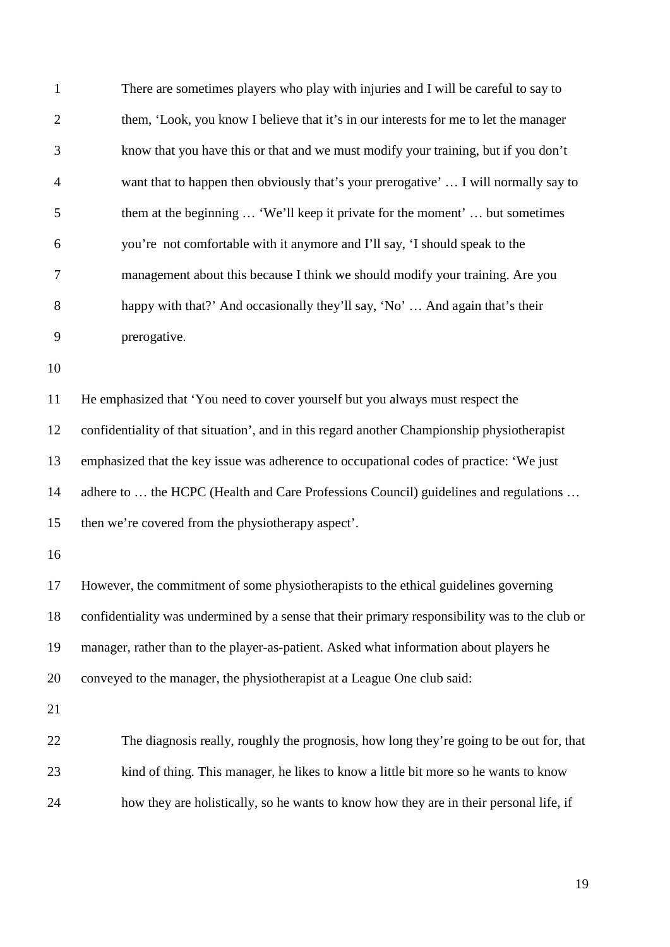| $\mathbf{1}$   | There are sometimes players who play with injuries and I will be careful to say to             |
|----------------|------------------------------------------------------------------------------------------------|
| $\mathbf{2}$   | them, 'Look, you know I believe that it's in our interests for me to let the manager           |
| 3              | know that you have this or that and we must modify your training, but if you don't             |
| $\overline{4}$ | want that to happen then obviously that's your prerogative'  I will normally say to            |
| 5              | them at the beginning  'We'll keep it private for the moment'  but sometimes                   |
| 6              | you're not comfortable with it anymore and I'll say, 'I should speak to the                    |
| 7              | management about this because I think we should modify your training. Are you                  |
| 8              | happy with that?' And occasionally they'll say, 'No'  And again that's their                   |
| 9              | prerogative.                                                                                   |
| 10             |                                                                                                |
| 11             | He emphasized that 'You need to cover yourself but you always must respect the                 |
| 12             | confidentiality of that situation', and in this regard another Championship physiotherapist    |
| 13             | emphasized that the key issue was adherence to occupational codes of practice: 'We just        |
| 14             | adhere to  the HCPC (Health and Care Professions Council) guidelines and regulations           |
| 15             | then we're covered from the physiotherapy aspect'.                                             |
| 16             |                                                                                                |
| 17             | However, the commitment of some physiotherapists to the ethical guidelines governing           |
| 18             | confidentiality was undermined by a sense that their primary responsibility was to the club or |
| 19             | manager, rather than to the player-as-patient. Asked what information about players he         |
| 20             | conveyed to the manager, the physiotherapist at a League One club said:                        |
| 21             |                                                                                                |
| 22             | The diagnosis really, roughly the prognosis, how long they're going to be out for, that        |
| 23             | kind of thing. This manager, he likes to know a little bit more so he wants to know            |
| 24             | how they are holistically, so he wants to know how they are in their personal life, if         |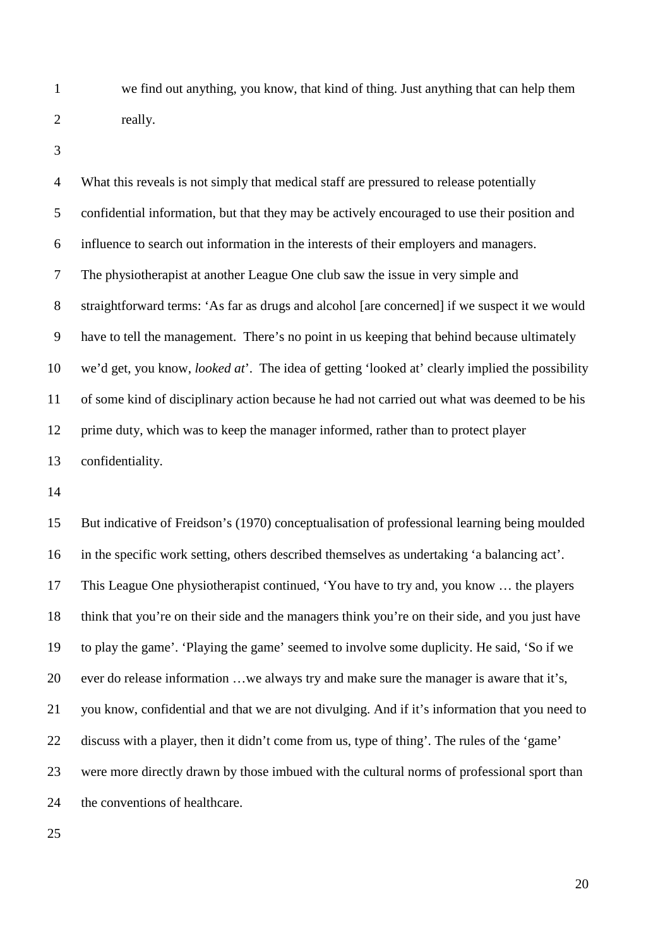we find out anything, you know, that kind of thing. Just anything that can help them 2 really.

 What this reveals is not simply that medical staff are pressured to release potentially confidential information, but that they may be actively encouraged to use their position and influence to search out information in the interests of their employers and managers. The physiotherapist at another League One club saw the issue in very simple and straightforward terms: 'As far as drugs and alcohol [are concerned] if we suspect it we would have to tell the management. There's no point in us keeping that behind because ultimately we'd get, you know, *looked at*'. The idea of getting 'looked at' clearly implied the possibility of some kind of disciplinary action because he had not carried out what was deemed to be his prime duty, which was to keep the manager informed, rather than to protect player confidentiality.

 But indicative of Freidson's (1970) conceptualisation of professional learning being moulded in the specific work setting, others described themselves as undertaking 'a balancing act'. This League One physiotherapist continued, 'You have to try and, you know … the players think that you're on their side and the managers think you're on their side, and you just have to play the game'. 'Playing the game' seemed to involve some duplicity. He said, 'So if we ever do release information …we always try and make sure the manager is aware that it's, you know, confidential and that we are not divulging. And if it's information that you need to discuss with a player, then it didn't come from us, type of thing'. The rules of the 'game' were more directly drawn by those imbued with the cultural norms of professional sport than the conventions of healthcare.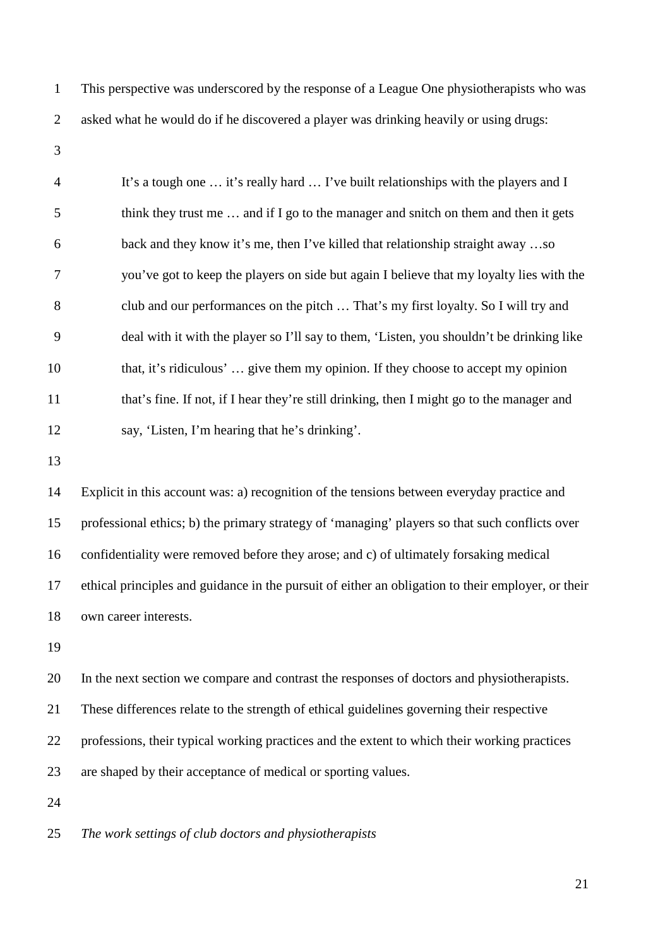- This perspective was underscored by the response of a League One physiotherapists who was asked what he would do if he discovered a player was drinking heavily or using drugs:
- 

 It's a tough one … it's really hard … I've built relationships with the players and I 5 think they trust me ... and if I go to the manager and snitch on them and then it gets back and they know it's me, then I've killed that relationship straight away …so you've got to keep the players on side but again I believe that my loyalty lies with the club and our performances on the pitch … That's my first loyalty. So I will try and deal with it with the player so I'll say to them, 'Listen, you shouldn't be drinking like 10 that, it's ridiculous' ... give them my opinion. If they choose to accept my opinion that's fine. If not, if I hear they're still drinking, then I might go to the manager and say, 'Listen, I'm hearing that he's drinking'.

 Explicit in this account was: a) recognition of the tensions between everyday practice and professional ethics; b) the primary strategy of 'managing' players so that such conflicts over confidentiality were removed before they arose; and c) of ultimately forsaking medical ethical principles and guidance in the pursuit of either an obligation to their employer, or their own career interests.

 In the next section we compare and contrast the responses of doctors and physiotherapists. These differences relate to the strength of ethical guidelines governing their respective professions, their typical working practices and the extent to which their working practices are shaped by their acceptance of medical or sporting values.

# *The work settings of club doctors and physiotherapists*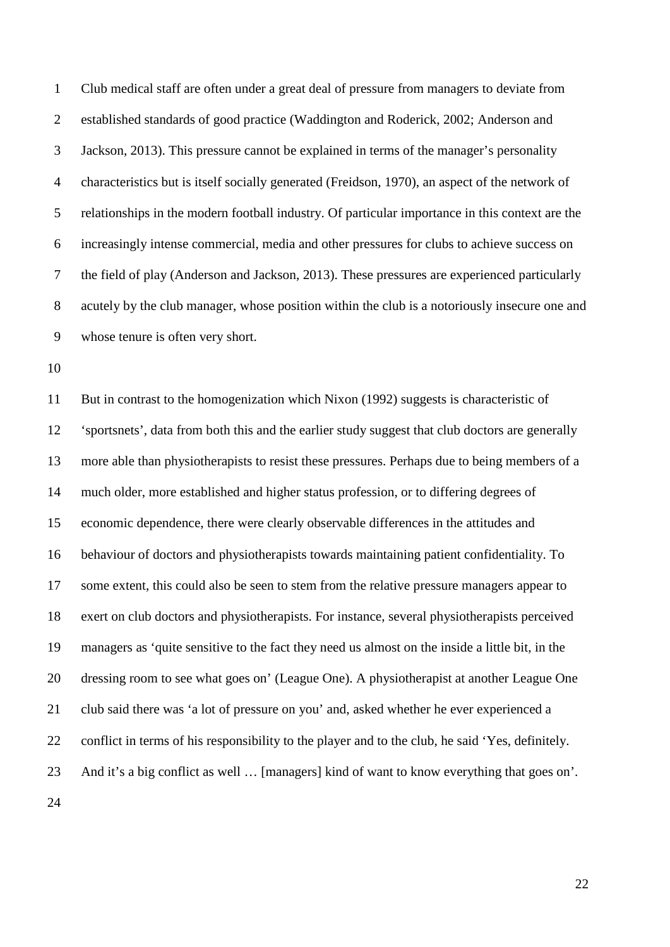Club medical staff are often under a great deal of pressure from managers to deviate from established standards of good practice (Waddington and Roderick, 2002; Anderson and Jackson, 2013). This pressure cannot be explained in terms of the manager's personality characteristics but is itself socially generated (Freidson, 1970), an aspect of the network of relationships in the modern football industry. Of particular importance in this context are the increasingly intense commercial, media and other pressures for clubs to achieve success on the field of play (Anderson and Jackson, 2013). These pressures are experienced particularly acutely by the club manager, whose position within the club is a notoriously insecure one and whose tenure is often very short.

 But in contrast to the homogenization which Nixon (1992) suggests is characteristic of 'sportsnets', data from both this and the earlier study suggest that club doctors are generally more able than physiotherapists to resist these pressures. Perhaps due to being members of a much older, more established and higher status profession, or to differing degrees of economic dependence, there were clearly observable differences in the attitudes and behaviour of doctors and physiotherapists towards maintaining patient confidentiality. To 17 some extent, this could also be seen to stem from the relative pressure managers appear to exert on club doctors and physiotherapists. For instance, several physiotherapists perceived managers as 'quite sensitive to the fact they need us almost on the inside a little bit, in the dressing room to see what goes on' (League One). A physiotherapist at another League One club said there was 'a lot of pressure on you' and, asked whether he ever experienced a conflict in terms of his responsibility to the player and to the club, he said 'Yes, definitely. And it's a big conflict as well … [managers] kind of want to know everything that goes on'.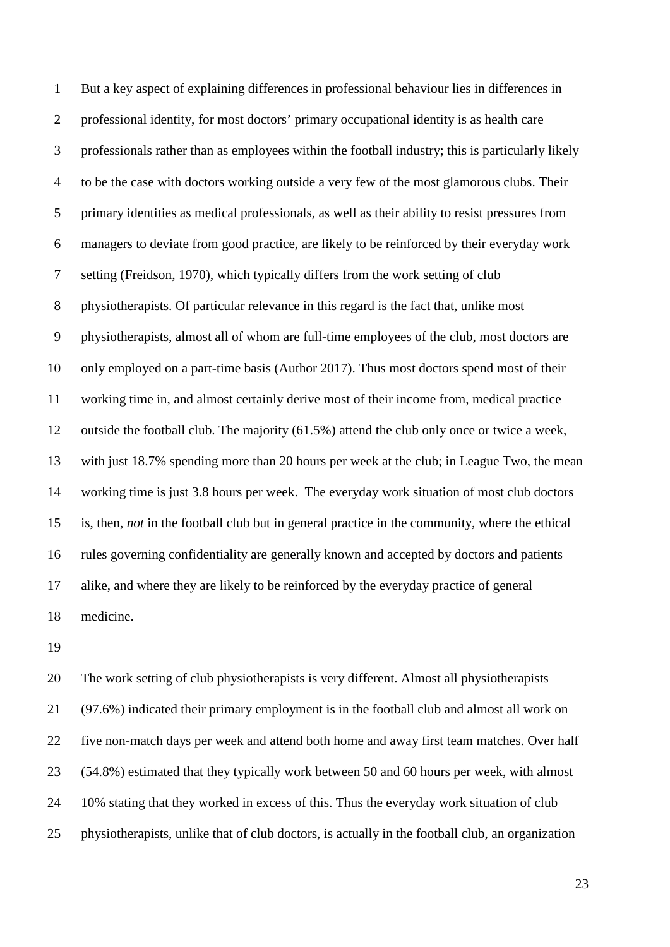But a key aspect of explaining differences in professional behaviour lies in differences in professional identity, for most doctors' primary occupational identity is as health care professionals rather than as employees within the football industry; this is particularly likely to be the case with doctors working outside a very few of the most glamorous clubs. Their primary identities as medical professionals, as well as their ability to resist pressures from managers to deviate from good practice, are likely to be reinforced by their everyday work setting (Freidson, 1970), which typically differs from the work setting of club physiotherapists. Of particular relevance in this regard is the fact that, unlike most physiotherapists, almost all of whom are full-time employees of the club, most doctors are only employed on a part-time basis (Author 2017). Thus most doctors spend most of their working time in, and almost certainly derive most of their income from, medical practice outside the football club. The majority (61.5%) attend the club only once or twice a week, with just 18.7% spending more than 20 hours per week at the club; in League Two, the mean working time is just 3.8 hours per week. The everyday work situation of most club doctors is, then, *not* in the football club but in general practice in the community, where the ethical rules governing confidentiality are generally known and accepted by doctors and patients alike, and where they are likely to be reinforced by the everyday practice of general medicine.

 The work setting of club physiotherapists is very different. Almost all physiotherapists (97.6%) indicated their primary employment is in the football club and almost all work on five non-match days per week and attend both home and away first team matches. Over half (54.8%) estimated that they typically work between 50 and 60 hours per week, with almost 10% stating that they worked in excess of this. Thus the everyday work situation of club physiotherapists, unlike that of club doctors, is actually in the football club, an organization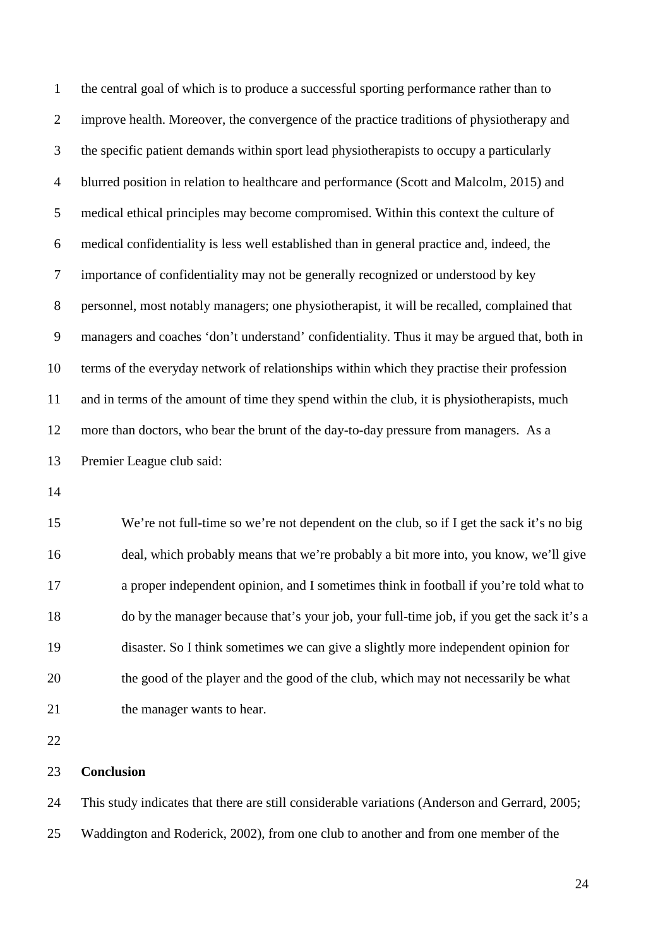the central goal of which is to produce a successful sporting performance rather than to improve health. Moreover, the convergence of the practice traditions of physiotherapy and the specific patient demands within sport lead physiotherapists to occupy a particularly blurred position in relation to healthcare and performance (Scott and Malcolm, 2015) and medical ethical principles may become compromised. Within this context the culture of medical confidentiality is less well established than in general practice and, indeed, the importance of confidentiality may not be generally recognized or understood by key personnel, most notably managers; one physiotherapist, it will be recalled, complained that managers and coaches 'don't understand' confidentiality. Thus it may be argued that, both in terms of the everyday network of relationships within which they practise their profession and in terms of the amount of time they spend within the club, it is physiotherapists, much more than doctors, who bear the brunt of the day-to-day pressure from managers. As a Premier League club said: We're not full-time so we're not dependent on the club, so if I get the sack it's no big deal, which probably means that we're probably a bit more into, you know, we'll give a proper independent opinion, and I sometimes think in football if you're told what to do by the manager because that's your job, your full-time job, if you get the sack it's a disaster. So I think sometimes we can give a slightly more independent opinion for the good of the player and the good of the club, which may not necessarily be what 21 the manager wants to hear.

# **Conclusion**

This study indicates that there are still considerable variations (Anderson and Gerrard, 2005;

Waddington and Roderick, 2002), from one club to another and from one member of the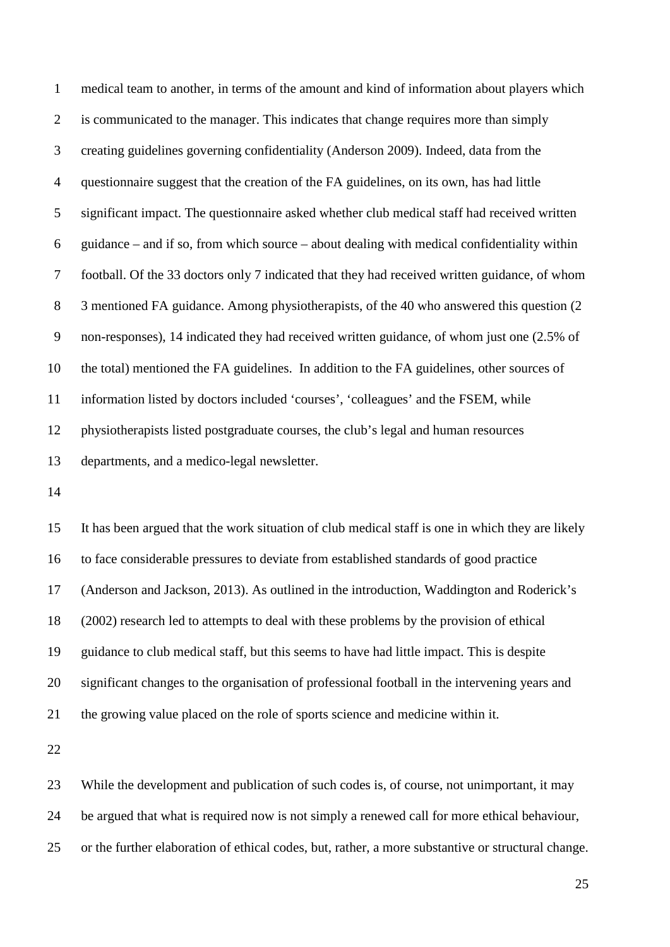medical team to another, in terms of the amount and kind of information about players which is communicated to the manager. This indicates that change requires more than simply creating guidelines governing confidentiality (Anderson 2009). Indeed, data from the questionnaire suggest that the creation of the FA guidelines, on its own, has had little significant impact. The questionnaire asked whether club medical staff had received written guidance – and if so, from which source – about dealing with medical confidentiality within football. Of the 33 doctors only 7 indicated that they had received written guidance, of whom 3 mentioned FA guidance. Among physiotherapists, of the 40 who answered this question (2 non-responses), 14 indicated they had received written guidance, of whom just one (2.5% of the total) mentioned the FA guidelines. In addition to the FA guidelines, other sources of information listed by doctors included 'courses', 'colleagues' and the FSEM, while physiotherapists listed postgraduate courses, the club's legal and human resources departments, and a medico-legal newsletter.

 It has been argued that the work situation of club medical staff is one in which they are likely to face considerable pressures to deviate from established standards of good practice (Anderson and Jackson, 2013). As outlined in the introduction, Waddington and Roderick's (2002) research led to attempts to deal with these problems by the provision of ethical guidance to club medical staff, but this seems to have had little impact. This is despite significant changes to the organisation of professional football in the intervening years and the growing value placed on the role of sports science and medicine within it.

 While the development and publication of such codes is, of course, not unimportant, it may be argued that what is required now is not simply a renewed call for more ethical behaviour, or the further elaboration of ethical codes, but, rather, a more substantive or structural change.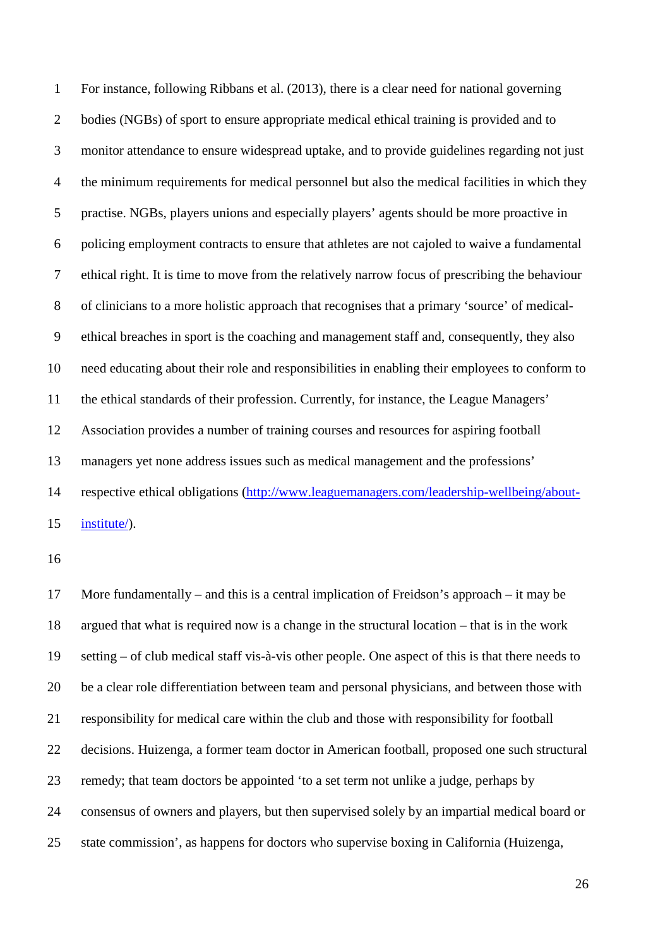For instance, following Ribbans et al. (2013), there is a clear need for national governing bodies (NGBs) of sport to ensure appropriate medical ethical training is provided and to monitor attendance to ensure widespread uptake, and to provide guidelines regarding not just the minimum requirements for medical personnel but also the medical facilities in which they practise. NGBs, players unions and especially players' agents should be more proactive in policing employment contracts to ensure that athletes are not cajoled to waive a fundamental ethical right. It is time to move from the relatively narrow focus of prescribing the behaviour of clinicians to a more holistic approach that recognises that a primary 'source' of medical- ethical breaches in sport is the coaching and management staff and, consequently, they also need educating about their role and responsibilities in enabling their employees to conform to the ethical standards of their profession. Currently, for instance, the League Managers' Association provides a number of training courses and resources for aspiring football managers yet none address issues such as medical management and the professions' respective ethical obligations [\(http://www.leaguemanagers.com/leadership-wellbeing/about-](http://www.leaguemanagers.com/leadership-wellbeing/about-institute/)[institute/\)](http://www.leaguemanagers.com/leadership-wellbeing/about-institute/).

 More fundamentally – and this is a central implication of Freidson's approach – it may be argued that what is required now is a change in the structural location – that is in the work setting – of club medical staff vis-à-vis other people. One aspect of this is that there needs to be a clear role differentiation between team and personal physicians, and between those with responsibility for medical care within the club and those with responsibility for football decisions. Huizenga, a former team doctor in American football, proposed one such structural remedy; that team doctors be appointed 'to a set term not unlike a judge, perhaps by consensus of owners and players, but then supervised solely by an impartial medical board or state commission', as happens for doctors who supervise boxing in California (Huizenga,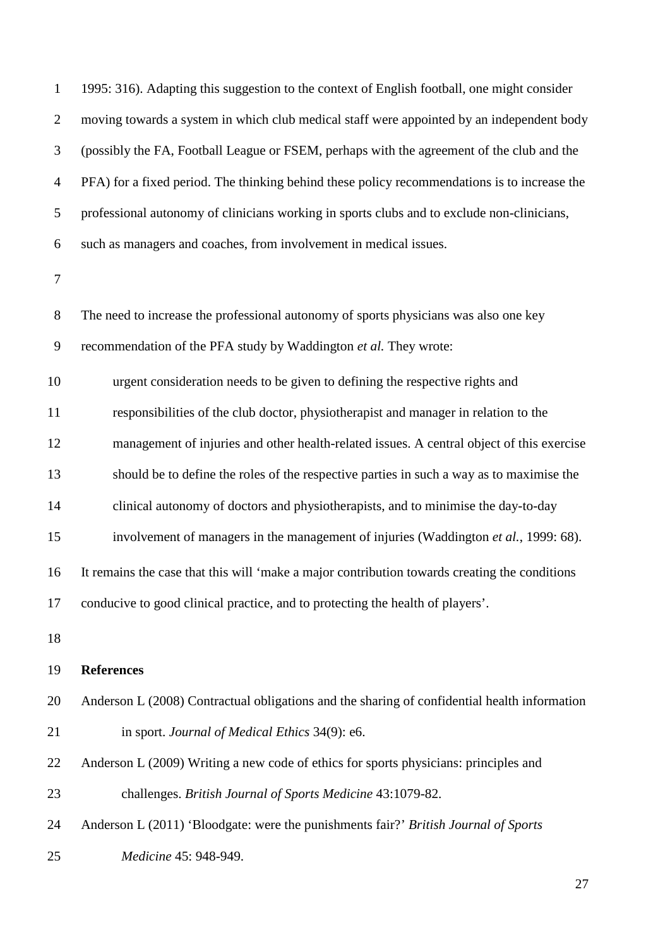| $\mathbf{1}$     | 1995: 316). Adapting this suggestion to the context of English football, one might consider   |
|------------------|-----------------------------------------------------------------------------------------------|
| $\overline{2}$   | moving towards a system in which club medical staff were appointed by an independent body     |
| 3                | (possibly the FA, Football League or FSEM, perhaps with the agreement of the club and the     |
| 4                | PFA) for a fixed period. The thinking behind these policy recommendations is to increase the  |
| 5                | professional autonomy of clinicians working in sports clubs and to exclude non-clinicians,    |
| 6                | such as managers and coaches, from involvement in medical issues.                             |
| $\boldsymbol{7}$ |                                                                                               |
| $8\phantom{1}$   | The need to increase the professional autonomy of sports physicians was also one key          |
| 9                | recommendation of the PFA study by Waddington et al. They wrote:                              |
| 10               | urgent consideration needs to be given to defining the respective rights and                  |
| 11               | responsibilities of the club doctor, physiotherapist and manager in relation to the           |
| 12               | management of injuries and other health-related issues. A central object of this exercise     |
| 13               | should be to define the roles of the respective parties in such a way as to maximise the      |
| 14               | clinical autonomy of doctors and physiotherapists, and to minimise the day-to-day             |
| 15               | involvement of managers in the management of injuries (Waddington et al., 1999: 68).          |
| 16               | It remains the case that this will 'make a major contribution towards creating the conditions |
| 17               | conducive to good clinical practice, and to protecting the health of players'.                |
| 18               |                                                                                               |
| 19               | <b>References</b>                                                                             |
| 20               | Anderson L (2008) Contractual obligations and the sharing of confidential health information  |
| 21               | in sport. Journal of Medical Ethics 34(9): e6.                                                |
| 22               | Anderson L (2009) Writing a new code of ethics for sports physicians: principles and          |
| 23               | challenges. British Journal of Sports Medicine 43:1079-82.                                    |
| 24               | Anderson L (2011) 'Bloodgate: were the punishments fair?' British Journal of Sports           |
| 25               | Medicine 45: 948-949.                                                                         |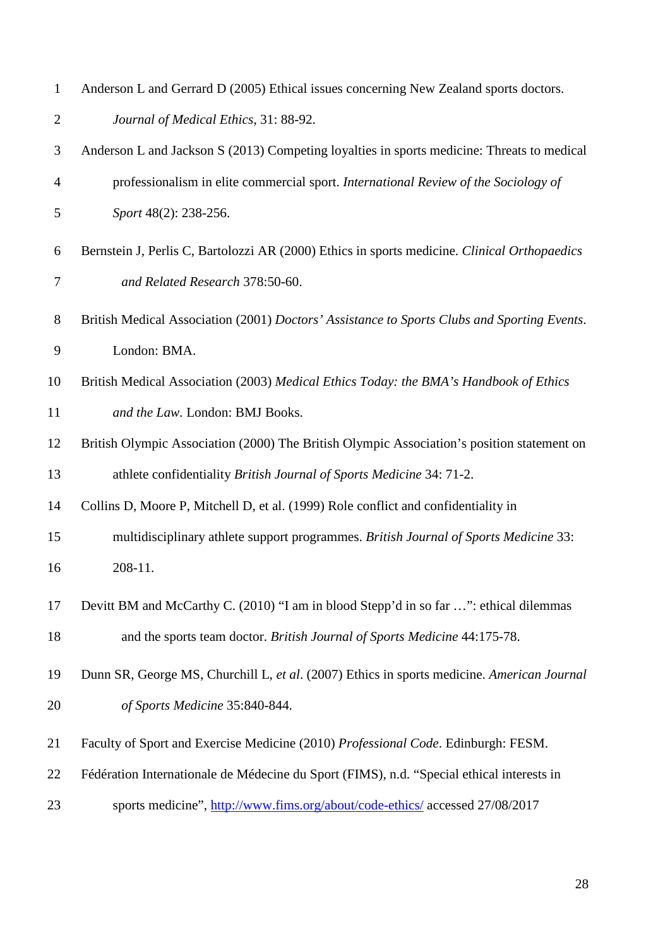| $\mathbf{1}$   | Anderson L and Gerrard D (2005) Ethical issues concerning New Zealand sports doctors.        |
|----------------|----------------------------------------------------------------------------------------------|
| $\overline{2}$ | Journal of Medical Ethics, 31: 88-92.                                                        |
| 3              | Anderson L and Jackson S (2013) Competing loyalties in sports medicine: Threats to medical   |
| 4              | professionalism in elite commercial sport. International Review of the Sociology of          |
| 5              | Sport 48(2): 238-256.                                                                        |
| 6              | Bernstein J, Perlis C, Bartolozzi AR (2000) Ethics in sports medicine. Clinical Orthopaedics |
| 7              | and Related Research 378:50-60.                                                              |
| $8\phantom{1}$ | British Medical Association (2001) Doctors' Assistance to Sports Clubs and Sporting Events.  |
| 9              | London: BMA.                                                                                 |
| 10             | British Medical Association (2003) Medical Ethics Today: the BMA's Handbook of Ethics        |
| 11             | and the Law. London: BMJ Books.                                                              |
| 12             | British Olympic Association (2000) The British Olympic Association's position statement on   |
| 13             | athlete confidentiality British Journal of Sports Medicine 34: 71-2.                         |
| 14             | Collins D, Moore P, Mitchell D, et al. (1999) Role conflict and confidentiality in           |
| 15             | multidisciplinary athlete support programmes. British Journal of Sports Medicine 33:         |
| 16             | 208-11.                                                                                      |
| 17             | Devitt BM and McCarthy C. (2010) "I am in blood Stepp'd in so far ": ethical dilemmas        |
| 18             | and the sports team doctor. British Journal of Sports Medicine 44:175-78.                    |
| 19             | Dunn SR, George MS, Churchill L, et al. (2007) Ethics in sports medicine. American Journal   |
| 20             | of Sports Medicine 35:840-844.                                                               |
| 21             | Faculty of Sport and Exercise Medicine (2010) Professional Code. Edinburgh: FESM.            |
| 22             | Fédération Internationale de Médecine du Sport (FIMS), n.d. "Special ethical interests in    |
| 23             | sports medicine", http://www.fims.org/about/code-ethics/ accessed 27/08/2017                 |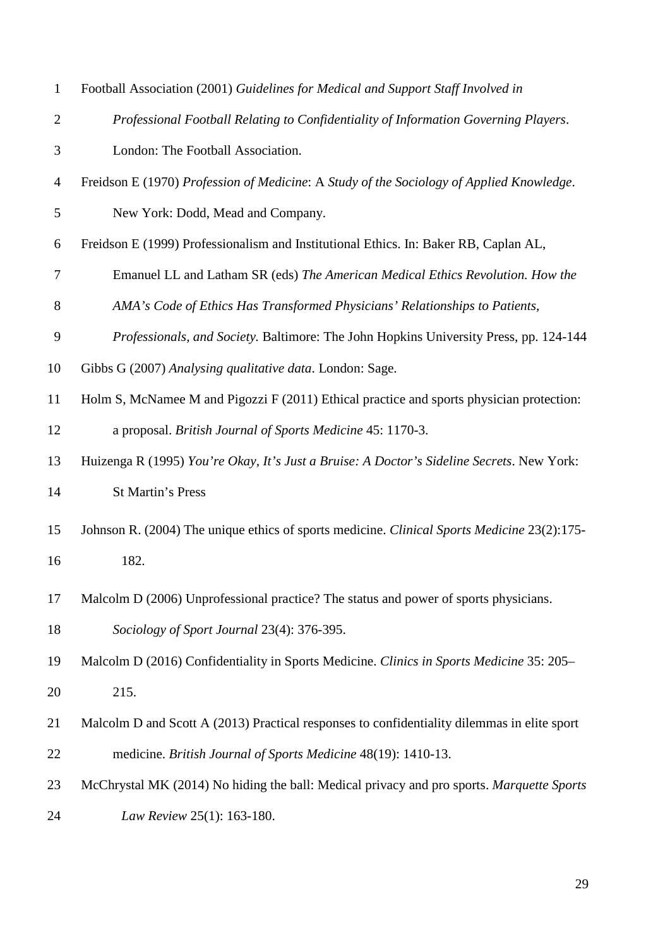| $\mathbf{1}$  | Football Association (2001) Guidelines for Medical and Support Staff Involved in            |
|---------------|---------------------------------------------------------------------------------------------|
| $\mathbf{2}$  | Professional Football Relating to Confidentiality of Information Governing Players.         |
| 3             | London: The Football Association.                                                           |
| 4             | Freidson E (1970) Profession of Medicine: A Study of the Sociology of Applied Knowledge.    |
| $\mathfrak s$ | New York: Dodd, Mead and Company.                                                           |
| 6             | Freidson E (1999) Professionalism and Institutional Ethics. In: Baker RB, Caplan AL,        |
| 7             | Emanuel LL and Latham SR (eds) The American Medical Ethics Revolution. How the              |
| 8             | AMA's Code of Ethics Has Transformed Physicians' Relationships to Patients,                 |
| 9             | Professionals, and Society. Baltimore: The John Hopkins University Press, pp. 124-144       |
| 10            | Gibbs G (2007) Analysing qualitative data. London: Sage.                                    |
| 11            | Holm S, McNamee M and Pigozzi F (2011) Ethical practice and sports physician protection:    |
| 12            | a proposal. British Journal of Sports Medicine 45: 1170-3.                                  |
| 13            | Huizenga R (1995) You're Okay, It's Just a Bruise: A Doctor's Sideline Secrets. New York:   |
| 14            | St Martin's Press                                                                           |
| 15            | Johnson R. (2004) The unique ethics of sports medicine. Clinical Sports Medicine 23(2):175- |
| 16            | 182.                                                                                        |
| 17            | Malcolm D (2006) Unprofessional practice? The status and power of sports physicians.        |
| 18            | Sociology of Sport Journal 23(4): 376-395.                                                  |
| 19            | Malcolm D (2016) Confidentiality in Sports Medicine. Clinics in Sports Medicine 35: 205–    |
| 20            | 215.                                                                                        |
| 21            | Malcolm D and Scott A (2013) Practical responses to confidentiality dilemmas in elite sport |
| 22            | medicine. British Journal of Sports Medicine 48(19): 1410-13.                               |
| 23            | McChrystal MK (2014) No hiding the ball: Medical privacy and pro sports. Marquette Sports   |
| 24            | Law Review 25(1): 163-180.                                                                  |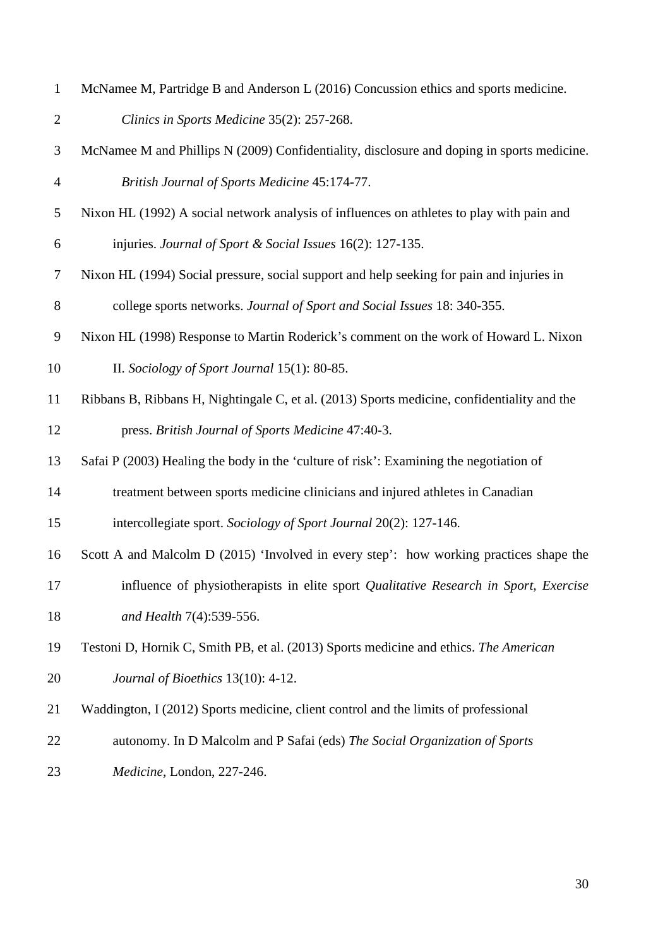|  |  |  | McNamee M, Partridge B and Anderson L (2016) Concussion ethics and sports medicine. |  |  |  |  |
|--|--|--|-------------------------------------------------------------------------------------|--|--|--|--|
|--|--|--|-------------------------------------------------------------------------------------|--|--|--|--|

- *Clinics in Sports Medicine* 35(2): 257-268.
- McNamee M and Phillips N (2009) Confidentiality, disclosure and doping in sports medicine. *British Journal of Sports Medicine* 45:174-77.
- Nixon HL (1992) A social network analysis of influences on athletes to play with pain and

injuries. *Journal of Sport & Social Issues* 16(2): 127-135.

Nixon HL (1994) Social pressure, social support and help seeking for pain and injuries in

college sports networks. *Journal of Sport and Social Issues* 18: 340-355.

Nixon HL (1998) Response to Martin Roderick's comment on the work of Howard L. Nixon

- II. *Sociology of Sport Journal* 15(1): 80-85.
- Ribbans B, Ribbans H, Nightingale C, et al. (2013) Sports medicine, confidentiality and the press. *British Journal of Sports Medicine* 47:40-3.
- Safai P (2003) Healing the body in the 'culture of risk': Examining the negotiation of
- treatment between sports medicine clinicians and injured athletes in Canadian

intercollegiate sport. *Sociology of Sport Journal* 20(2): 127-146.

Scott A and Malcolm D (2015) 'Involved in every step': how working practices shape the

- influence of physiotherapists in elite sport *Qualitative Research in Sport, Exercise and Health* 7(4):539-556.
- Testoni D, Hornik C, Smith PB, et al. (2013) Sports medicine and ethics. *The American Journal of Bioethics* 13(10): 4-12.
- Waddington, I (2012) Sports medicine, client control and the limits of professional
- autonomy. In D Malcolm and P Safai (eds) *The Social Organization of Sports*
- *Medicine*, London, 227-246.